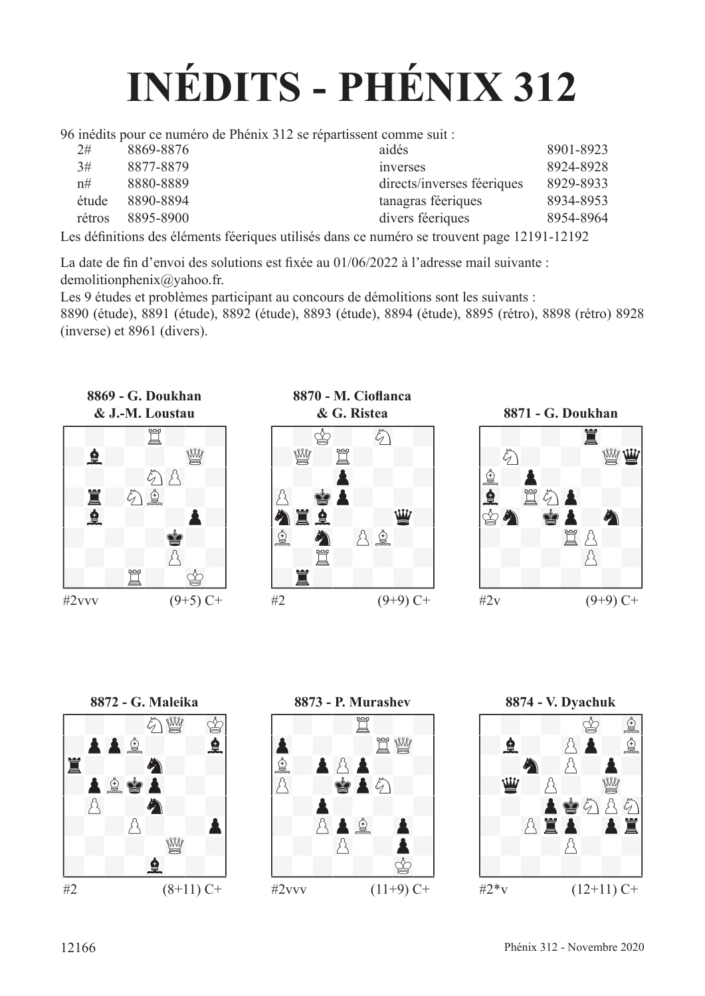# **INÉDITS - PHÉNIX 312**

96 inédits pour ce numéro de Phénix 312 se répartissent comme suit :

| 2#     | 8869-8876 | aidés                      | 8901-8923 |
|--------|-----------|----------------------------|-----------|
| 3#     | 8877-8879 | inverses                   | 8924-8928 |
| n#     | 8880-8889 | directs/inverses féeriques | 8929-8933 |
| étude  | 8890-8894 | tanagras féeriques         | 8934-8953 |
| rétros | 8895-8900 | divers féeriques           | 8954-8964 |
|        |           |                            |           |

Les défnitions des éléments féeriques utilisés dans ce numéro se trouvent page 12191-12192

La date de fn d'envoi des solutions est fxée au 01/06/2022 à l'adresse mail suivante : demolitionphenix@yahoo.fr.

Les 9 études et problèmes participant au concours de démolitions sont les suivants :

8890 (étude), 8891 (étude), 8892 (étude), 8893 (étude), 8894 (étude), 8895 (rétro), 8898 (rétro) 8928 (inverse) et 8961 (divers).







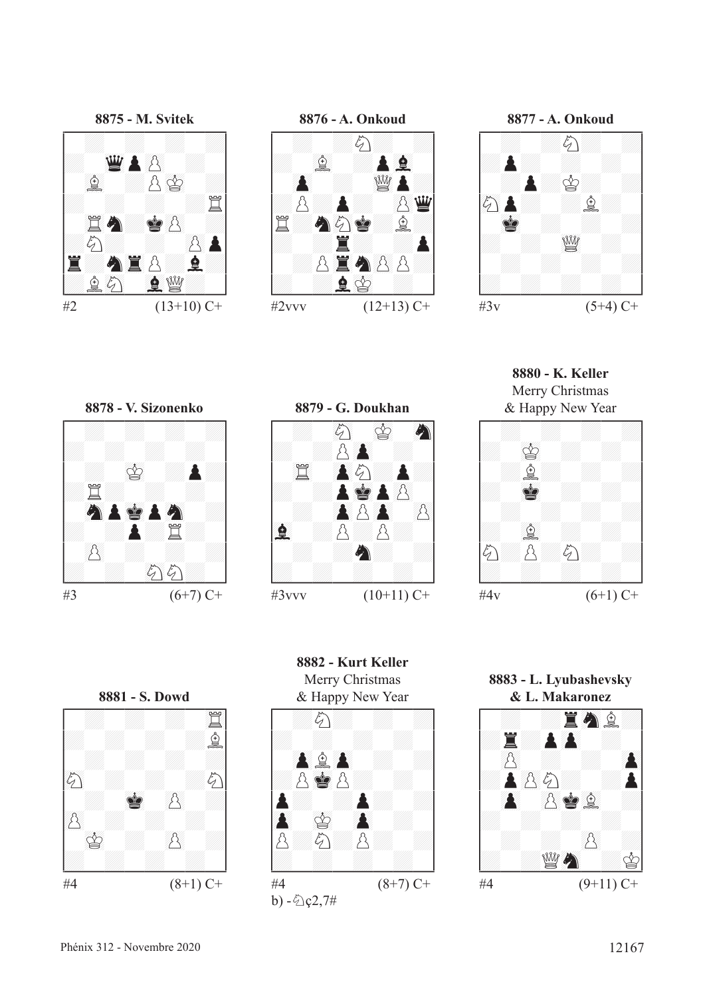





**8880 - K. Keller** Merry Christmas



 $#4v$  (6+1) C+

#3  $(6+7)$  C+

**8878 - V. Sizonenko** !--------! / : : : :/ /: : : : / / : 01r :P:/ /:t: : : / / 89CP01RP89C :/ /: :P:t: / / ()p : : :/ /: : 89cc: /



**8882 - Kurt Keller** Merry Christmas









 $\#3$ vvv  $(10+11)$  C+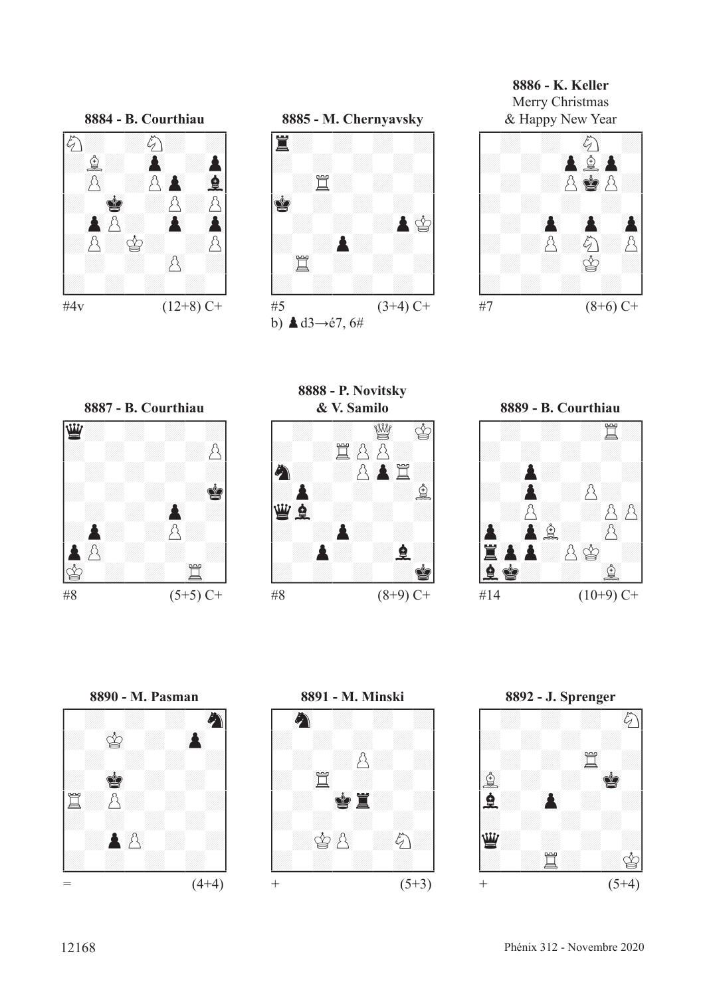



**8886 - K. Keller** Merry Christmas





**8888 - P. Novitsky**









**8892 - J. Sprenger** !--------! / : : : 89c/ /: : : : / / : : 45t :/ /67f : : 01R / /F: ()P : :/ /: : : : / /D: : : :/ /: :t: :r/ \$\_\_\_\_\_\_\_\_\$ + (5+4)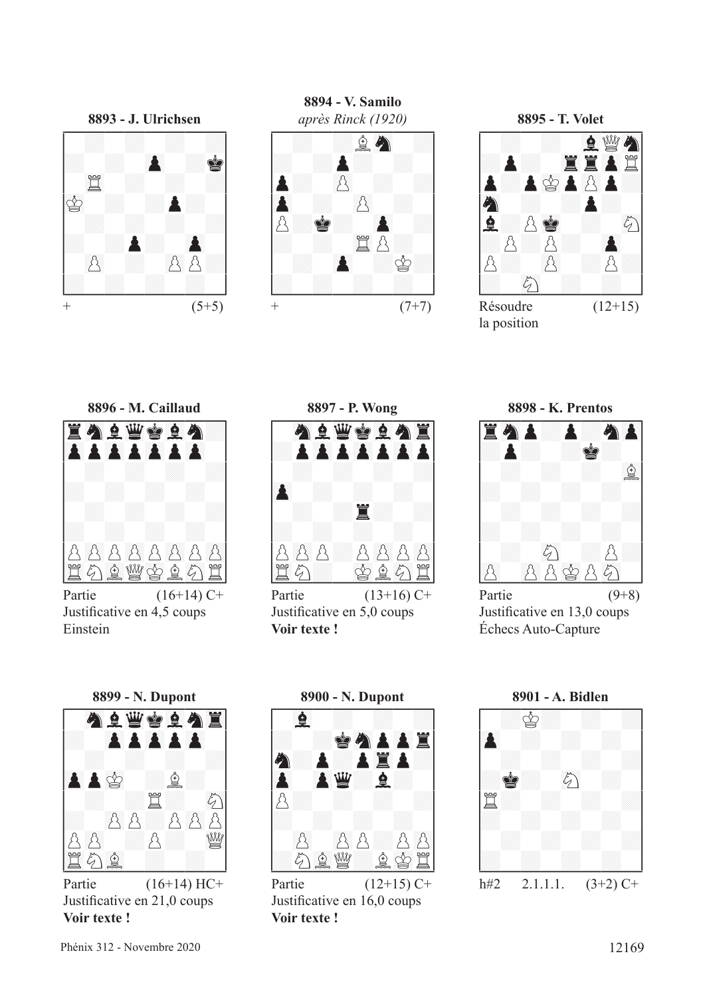**8893 - J. Ulrichsen** !--------! / : : : :/ /: : ()P :R/ / 45t : : :/ /01r : :P: / / : : : :/ /: :P: ()P / / ()p : ()pp:/ /: : : : / +  $(5+5)$ 

**8894 - V. Samilo** après Rinck (1920)<br> **A**<br> **A**<br> **A**<br> **A**<br> **E**<br> **A**<br> **E**<br> **A**<br> **E**<br> **A**<br> **E**<br> **A**<br> **E**<br> **A** 

+  $(7+7)$ 

**8895 - T. Volet** !--------! / : : 67Fde89C/ /:P: 45TT()Pt/ /P:P01rP()pP:/ /89C : :P: / /F:p01R : 89c/ /:p:p: ()P / /p: ()p :p:/ /: 89c : : / Résoudre  $(12+15)$ 

la position





Partie  $(16+14)$  C+ Justifcative en 4,5 coups Einstein



Partie  $(13+16)$  C+ Justifcative en 5,0 coups **Voir texte !**



Partie  $(9+8)$ Justifcative en 13,0 coups Échecs Auto-Capture

**8899 - N. Dupont** !--------! / 89CF23DR67FC45T/ /: ()PP()PP()P / / : : : :/ /()PP01r :f: / / : :t: 89c/ /: ()pp:p()pp/ /p()p :p: 23de/ /45tc67f : : / \$\_\_\_\_\_\_\_\_\$ Partie (16+14) HC+

Justifcative en 21,0 coups **Voir texte !**



Justifcative en 16,0 coups **Voir texte !**

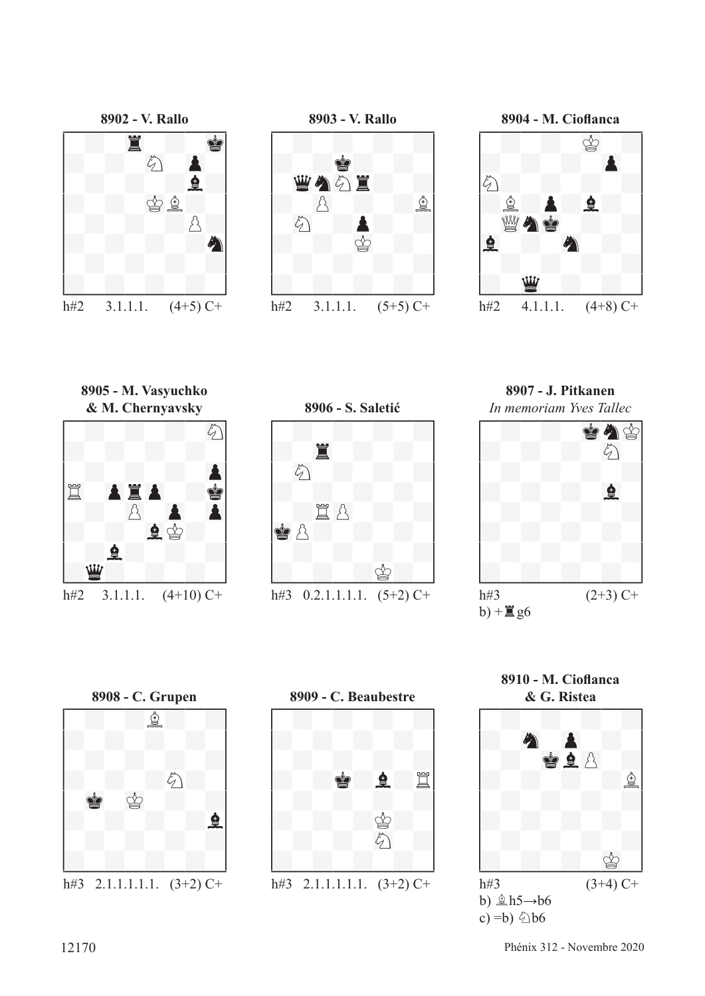



**8904 - M. Ciofanca** !--------! / : : 01r :/ /: : : ()P / /c: : : :/ /:f:P:F: / / 23deC01R : :/ /67F : 89C : / / : : : :/ /: 23D : : /

h#2  $4.1.1.1$ .  $(4+8)$  C+

**8905 - M. Vasyuchko**



**8906 - S. Saletić** !--------! / : : : :/ /: 45T : : / / 89c : : :/ /: : : : / / :t()p : :/ /01Rp: : : / / : : : :/ /: : :r: / \$\_\_\_\_\_\_\_\_\$ h#3  $0.2.1.1.1.1$ .  $(5+2)$  C+

**8907 - J. Pitkanen**







**8910 - M. Ciofanca**

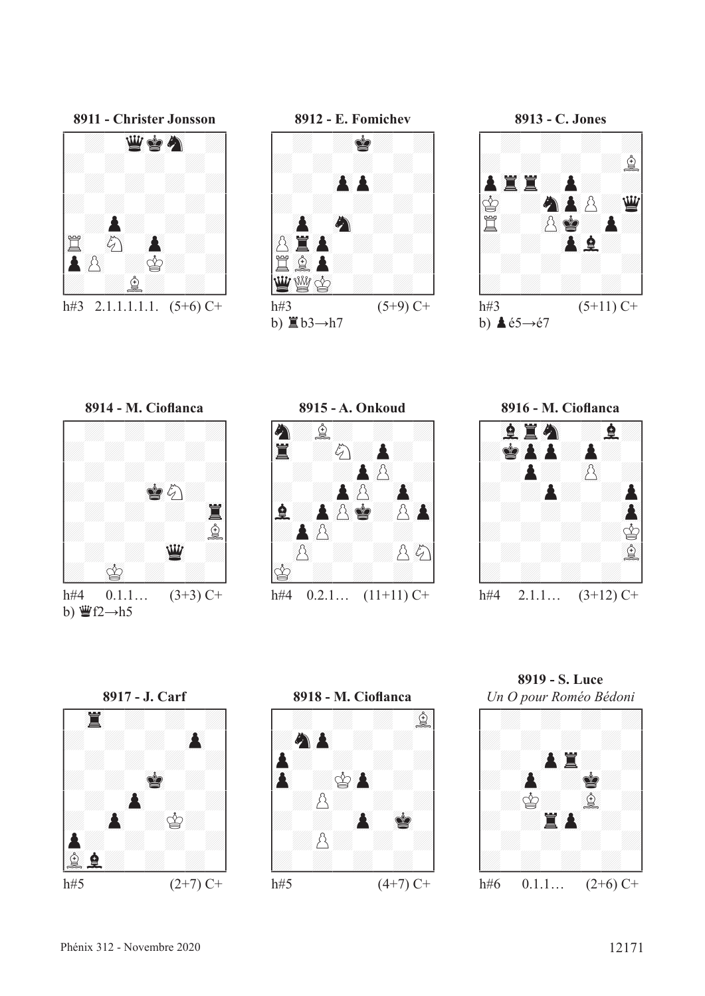

h#3 2.1.1.1.1.1.  $(5+6)$  C+



b)  $\mathbb{E} b3 \rightarrow h7$ 



b)  $\triangle 65 \rightarrow 67$ 





**8915 - A. Onkoud** !--------! /C:f: : :/ /45T :c:P: / / : :P()p :/ /: :P()p ()P / /F:P()pR:p()P/ /:P()p : : / / ()p : :p89c/ /01r : : : / \$\_\_\_\_\_\_\_\_\$ h#4  $0.2.1...$   $(11+11)$  C+







**8919 - S. Luce** *Un O pour Roméo Bédoni*

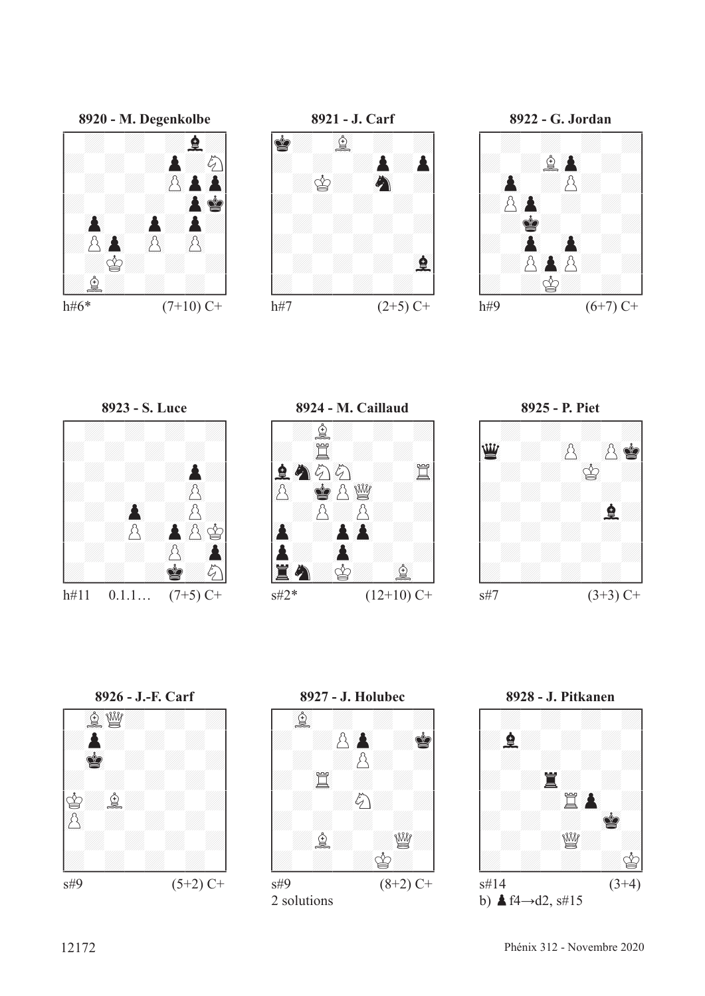



**8920 - M. Degenkolbe** !--------! / : : :F:/ /: : :P:c/ / : : ()pP()P/ /: : : ()PR/ / ()P :P:P:/ /:p()P ()p ()p / / :r: : :/ /:f: : : /

h#6\*  $(7+10)$  C+

h#11  $0.1.1...$  (7+5) C+



**8921 - J. Carf** !--------! /R: 67f : :/ /: : :P:P/ / :r: 89C :/ /: : : : / / : : : :/ /: : : : / / : : : 67F/ /: : : : /

h#7  $(2+5)$  C+





 $\text{S} \# 2^*$  (12+10) C+





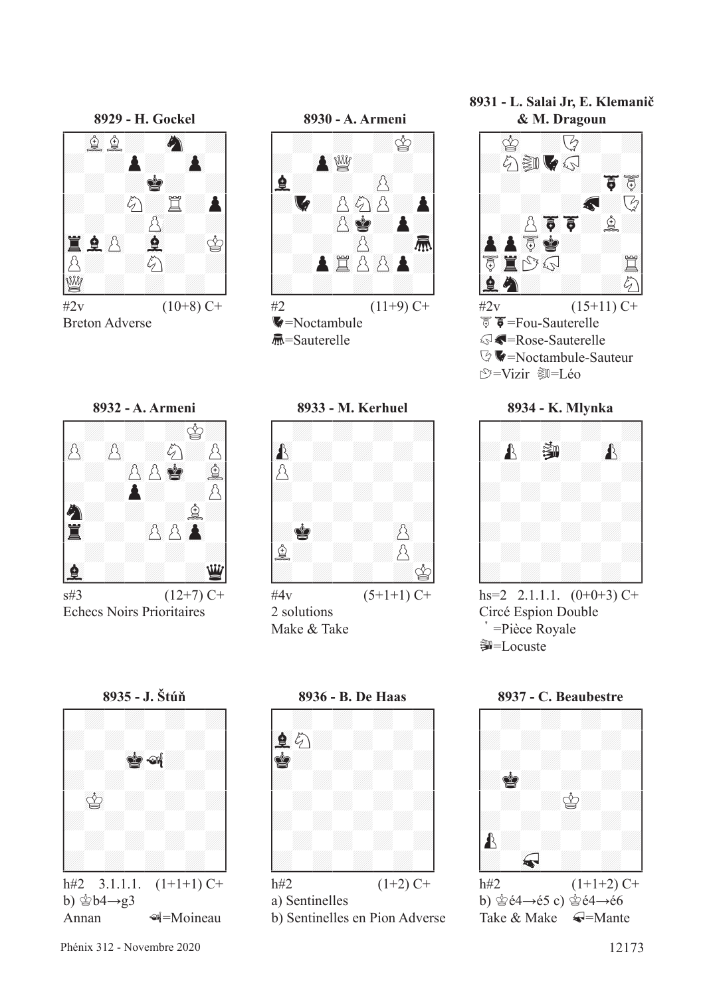

Breton Adverse





S=Sauterelle



 $\pm 3$  (12+7) C+ Echecs Noirs Prioritaires



 $#4v$   $(5+1+1)$  C+ 2 solutions Make & Take



b)  $\dot{\mathscr{L}}$ b4 $\rightarrow$ g3 Annan **I**=Moineau



b) Sentinelles en Pion Adverse

**8931 - L. Salai Jr, E. Klemanič**



 $\heartsuit$   $\blacktriangleright$  =Noctambule-Sauteur *<u>\*</u>*=Vizir ③=Léo



hs=2 2.1.1.1.  $(0+0+3)$  C+ Circé Espion Double > =Pièce Royale **第**=Locuste



b)  $\dot{\mathscr{C}}$ é4→é5 c)  $\dot{\mathscr{C}}$ é4→é6 Take  $\&$  Make  $\bigtriangleup$ =Mante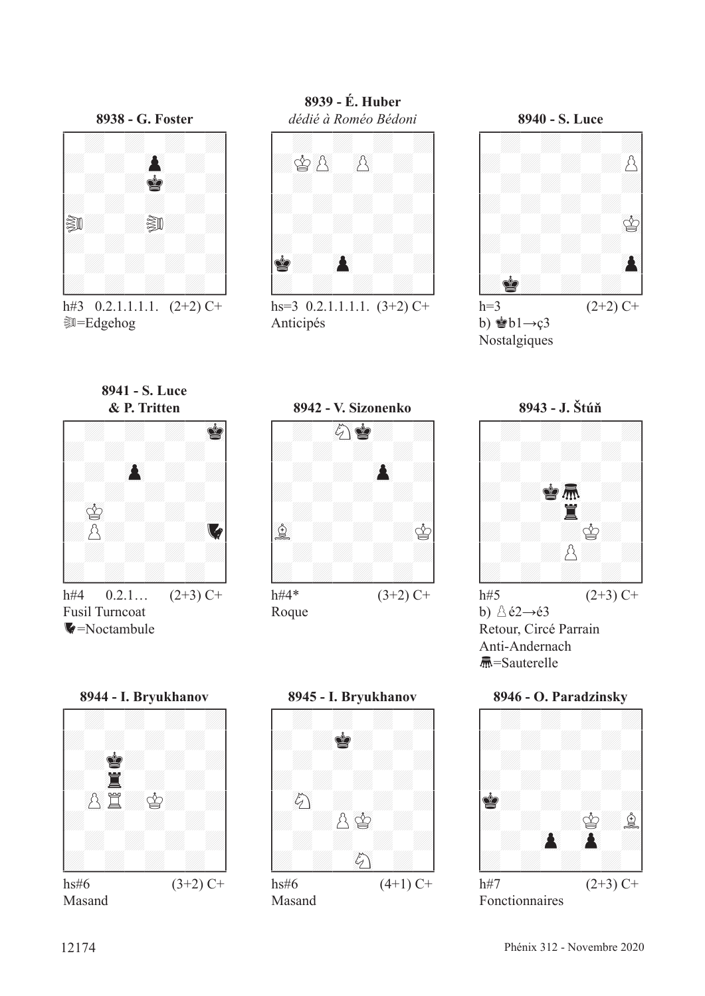

h#3  $0.2.1.1.1.1$ .  $(2+2)$  C+ **D=Edgehog** 

**8939 - É. Huber**



hs=3  $0.2.1.1.1.1.$   $(3+2)$  C+ Anticipés

**8940 - S. Luce** !--------! / : : : :/ /: : : :p/ / : : : :/ /: : : : / / : : : 01r/ /: : : : / / : : : ()P/ /:R: : : / h=3  $(2+2)$  C+

b)  $\bullet$ b1→ç3 Nostalgiques





h#4  $0.2.1...$   $(2+3)$  C+ Fusil Turncoat  $\blacktriangledown$ =Noctambule







b)  $\triangle$ é2→é3 Retour, Circé Parrain Anti-Andernach S=Sauterelle



**8945 - I. Bryukhanov** !--------! / : : : :/ /: :R: : / / : : : :/ /: : : : / / 89c : : :/ /: :p01r : / / : : : :/ /: : 89c : / \$\_\_\_\_\_\_\_\_\$ hs#6 (4+1) C+

Masand



Fonctionnaires

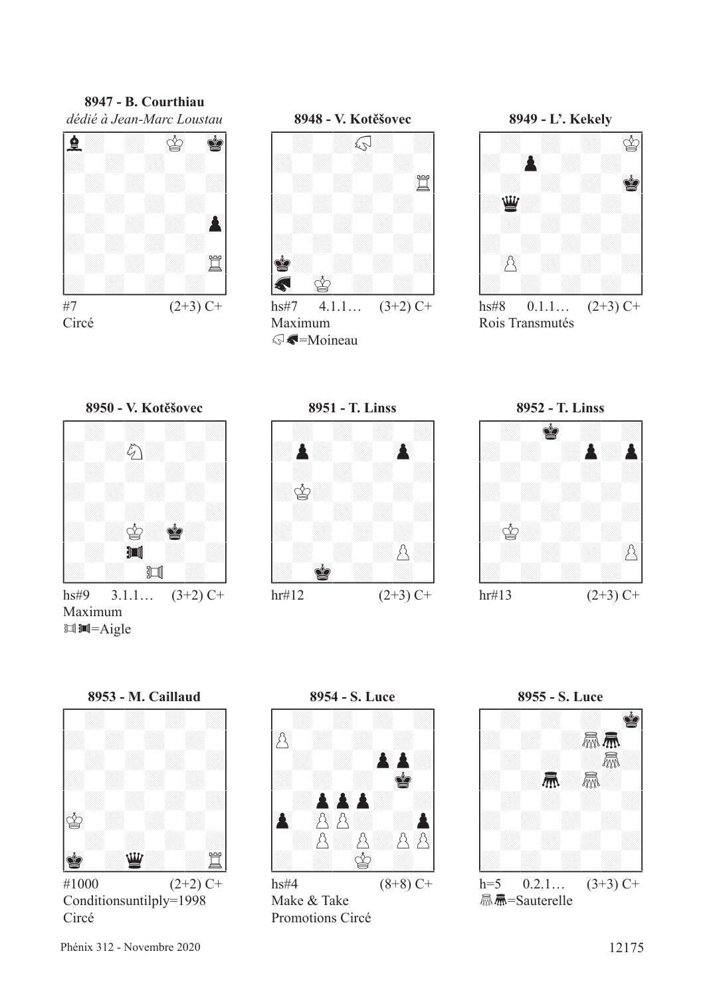#### **8947 - B. Courthiau** *dédié à Jean-Marc Loustau*







hs#8  $0.1.1...$   $(2+3)$  C+ Rois Transmutés



Circé





 $hr#12$  (2+3) C+



 $\mathbb{H}$   $\mathbb{H}$  = Aigle



Conditionsuntilply=1998 Circé



Make & Take Promotions Circé

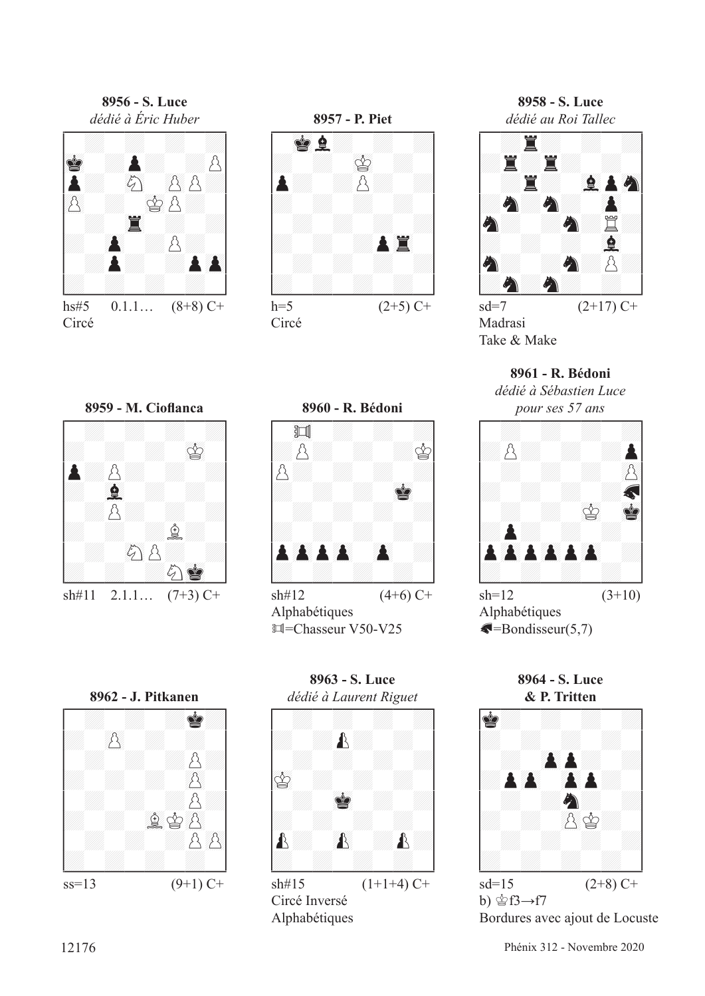**8956 - S. Luce**



hs#5  $0.1.1...$   $(8+8)$  C+ Circé



Circé

**8958 - S. Luce**



 $sd=7$  (2+17) C+ Madrasi Take & Make

**8961 - R. Bédoni**

*dédié à Sébastien Luce* 



Alphabétiques  $\bigtriangleup$ =Bondisseur(5,7)

**8964 - S. Luce**



b) 含f3→f7 Bordures avec ajout de Locuste





 $\sin\#12$  (4+6) C+ Alphabétiques  $\mathbb{H}$ =Chasseur V50-V25



**8963 - S. Luce**



Alphabétiques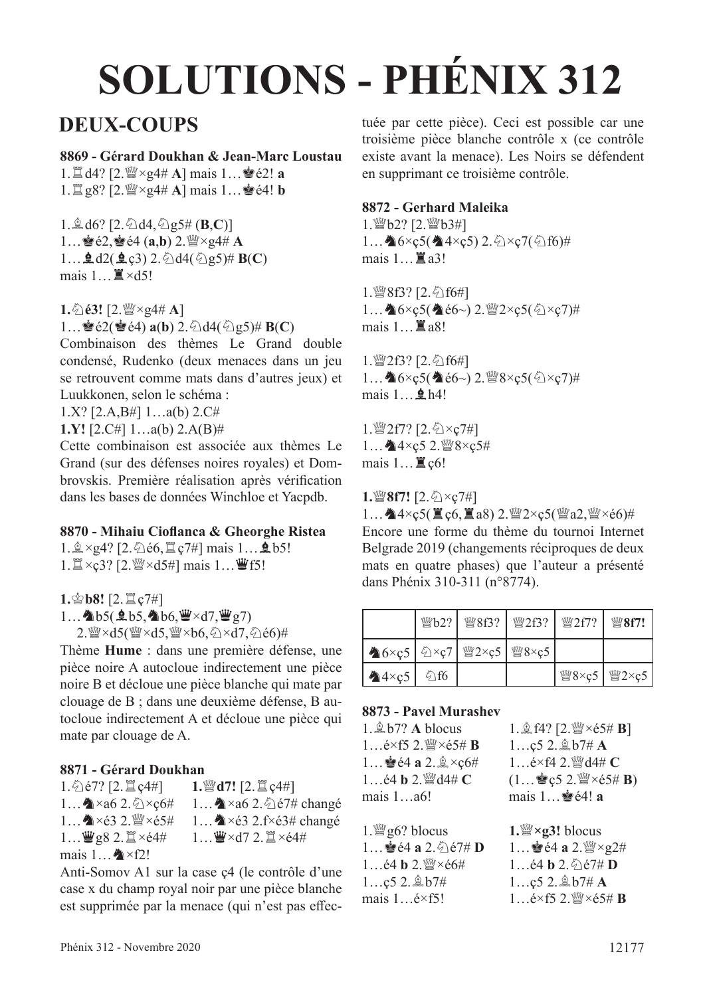# **SOLUTIONS - PHÉNIX 312**

## **DEUX-COUPS**

#### **8869 - Gérard Doukhan & Jean-Marc Loustau**

 $1. \mathbb{Z}$  d4?  $[2. \mathbb{W} \times 94 \# A]$  mais  $1... \cong 62!$  **a**  $1. \mathbb{Z}$  g8? [2. $\mathbb{W} \times$ g4# **A**] mais  $1... \cong 64!$  **b** 

 $1.\hat{\mathbb{Q}}$  d6?  $[2.\hat{\Diamond}$  d4,  $\hat{\Diamond}$  g5#  $(\mathbf{B},\mathbf{C})]$  $1...$  $\bullet$   $62$ ,  $\bullet$   $64$   $(a,b)$   $2$ .  $\mathbb{W} \times$ g4# **A**  $1...$ **2**d2(**2**c3) 2.  $\triangle$ d4( $\triangle$ g5)# **B**(**C**) mais  $1...$  $\mathbb{I} \times d5!$ 

 $1.\text{\textdegreeled{1}}\text{.}63!$  [2. $\text{W} \times 24\text{# A}$ ]

1… $\bullet$ é2( $\bullet$ é4) **a**(**b**) 2. $\bullet$ d4( $\bullet$ )g5)# **B**(**C**)

Combinaison des thèmes Le Grand double condensé, Rudenko (deux menaces dans un jeu se retrouvent comme mats dans d'autres jeux) et Luukkonen, selon le schéma :

1.X? [2.A,B#] 1…a(b) 2.C#

**1.Y!** [2.C#] 1…a(b) 2.A(B)#

Cette combinaison est associée aux thèmes Le Grand (sur des défenses noires royales) et Dombrovskis. Première réalisation après vérifcation dans les bases de données Winchloe et Yacpdb.

#### **8870 - Mihaiu Ciofanca & Gheorghe Ristea**

 $1.\n$  $\xi \times g4$ ? [2. $\Diamond$ ) é6, $\Xi$  c7#] mais  $1...\n$ b5!  $1.\mathbb{Z} \times c3$ ? [2. $\mathbb{W} \times d5\#$ ] mais  $1...\mathbb{W}$ f5!

**1. 宫b8!** [2.  $\Xi$  c7#]  $1...$   $b5(0.65, 0.6)$   $w \times d7$ ,  $w g7$ ) 2. Wexd5(Wexd5, Wexb6, Zxd7, Ze6)#

Thème **Hume** : dans une première défense, une pièce noire A autocloue indirectement une pièce noire B et décloue une pièce blanche qui mate par clouage de B ; dans une deuxième défense, B autocloue indirectement A et décloue une pièce qui mate par clouage de A.

#### **8871 - Gérard Doukhan**

| $1.\overline{\bigcirc}$ é7? [2. $\mathbb{Z}$ c4#] | $1.$ [2. $2.$ $2 \leq c$ $4#$ ]                  |
|---------------------------------------------------|--------------------------------------------------|
| 1 $\triangle$ × a6 2. $\triangle$ × c6#           | 1 $\triangle$ × a6 2. $\triangle$ é7# changé     |
|                                                   | 1 $\triangle \times 63$ 2.f $\times 63$ # changé |
| $1$ $\mathbf{W}$ g8 2. $\mathbf{X} \times 64#$    | $1$ W $\times$ d7 2. $\mathbb{Z} \times 64#$     |
| mais $1$ $\mathbb{Z} \times f2!$                  |                                                  |

Anti-Somov A1 sur la case ç4 (le contrôle d'une case x du champ royal noir par une pièce blanche est supprimée par la menace (qui n'est pas efectuée par cette pièce). Ceci est possible car une troisième pièce blanche contrôle x (ce contrôle existe avant la menace). Les Noirs se défendent en supprimant ce troisième contrôle.

#### **8872 - Gerhard Maleika**

1. *幽* b2? [2. *幽* b3#] 1… $\triangle$ 6×ç5( $\triangle$ 4×ç5) 2. $\triangle$ ×ç7( $\triangle$ f6)# mais  $1 \dots \mathbb{Z}$  a3!

1. 曾8f3? [2. 公f6#] 1… $\triangle$ 6×ç5( $\triangleq$ é6~) 2. $\angle$ 2×ç5( $\triangleq$ ×ç7)# mais  $1...$  $\Xi$  a8!

1. 曾2f3? [2. 公f6#] 1...  $\triangleq 6 \times \csc 5(2 \times \csc 5)$  2.  $\angle$ 8 $\times \csc 5(2 \times \csc 7)$ # mais  $1 \dots 2h4!$ 

1. 2f7? [2. 公×c7#] 1... ▲4×ç5 2. @8×ç5# mais  $1...$  $\mathbb{E}$  c6!

**1.** $\mathbb{Q}$ 8f7! [2. $\> c7\#$ ]

 $1...$ ▲4×c5(罝c6,罝a8) 2. $\frac{100}{2}$ ×c5( $\frac{100}{2}$ a2, $\frac{100}{2}$ ×é6)# Encore une forme du thème du tournoi Internet Belgrade 2019 (changements réciproques de deux mats en quatre phases) que l'auteur a présenté dans Phénix 310-311 (n°8774).

|               | $\mathbb{W}b2?$ | $\frac{W}{28}$ 8f3?                                                                                                        | $\frac{W}{2}2f3?$ | $\frac{W}{2}2f7?$ | <b><i>彎8f7!</i></b>                 |
|---------------|-----------------|----------------------------------------------------------------------------------------------------------------------------|-------------------|-------------------|-------------------------------------|
|               |                 | $\bigotimes 6 \times \csc 5 \mid \bigotimes \times \csc 7 \mid \bigotimes 2 \times \csc 5 \mid \bigotimes 8 \times \csc 5$ |                   |                   |                                     |
| $4 \times c5$ | $\bigcirc$ f6   |                                                                                                                            |                   |                   | <sup>ଧୁ</sup> ଞ୍ଚ8×ç5   ଧ୍ଞ୍ଚୁ 2×ç5 |

#### **8873 - Pavel Murashev**

| $1.\n$ g b7? A blocus                                          | $1.\hat{\mathbb{Z}}$ f4? [2. 營×é5# <b>B</b> ]              |
|----------------------------------------------------------------|------------------------------------------------------------|
| 1 $\acute{\text{e}} \times$ f5 2. $\frac{300}{4} \times 65#$ B | $1$ ç5 2. $\&b7# A$                                        |
| 1 $\bullet$ é4 a 2. $\× c6\#$                                  | $1$ é $\times$ f4 2. Wd4# C                                |
| $1$ é4 b $2.$ 營d4# C                                           | $(1$ $\bullet$ c5 2. $\mathbb{W} \times 65 \# \mathbf{B})$ |
| mais 1a6!                                                      | mais 1 · é4! a                                             |
|                                                                |                                                            |

| $\ldots$ $\blacksquare$ $\cup$ $\omega$ $\ldots$ $\omega$ $\ldots$ $\omega$ $\ldots$<br>$1$ $\mathbf{W} \times d7$ 2. $\mathbf{X} \times 64#$ | $1.$ We g6? blocus                                                         | 1. $\mathbb{W} \times \mathbb{Z}$ blocus                                                 |
|-----------------------------------------------------------------------------------------------------------------------------------------------|----------------------------------------------------------------------------|------------------------------------------------------------------------------------------|
|                                                                                                                                               | 1 $\bullet$ é4 a 2. $\bullet$ é7# D                                        | 1 $\bullet$ é4 a 2. $\mathbb{W} \times$ g2#                                              |
| case ç4 (le contrôle d'une                                                                                                                    | 1 $\acute{\text{e}}$ 4 <b>b</b> 2. $\mathbb{W} \times \acute{\text{e}}$ 6# | 1 $\acute{\epsilon}$ 4 <b>b</b> 2. $\hat{\odot}$ $\acute{\epsilon}$ 7# <b>D</b>          |
| noir par une pièce blanche                                                                                                                    | $1$ ç5 2. $\&b7#$                                                          | $1c5$ 2. $\&b7\# A$                                                                      |
| angoo (ani n'ort non offoo                                                                                                                    | mais $1$ $e \times f5!$                                                    | 1 $\acute{\text{e}} \times$ f5 2. $\acute{\text{w}} \times \acute{\text{e}}$ 5# <b>B</b> |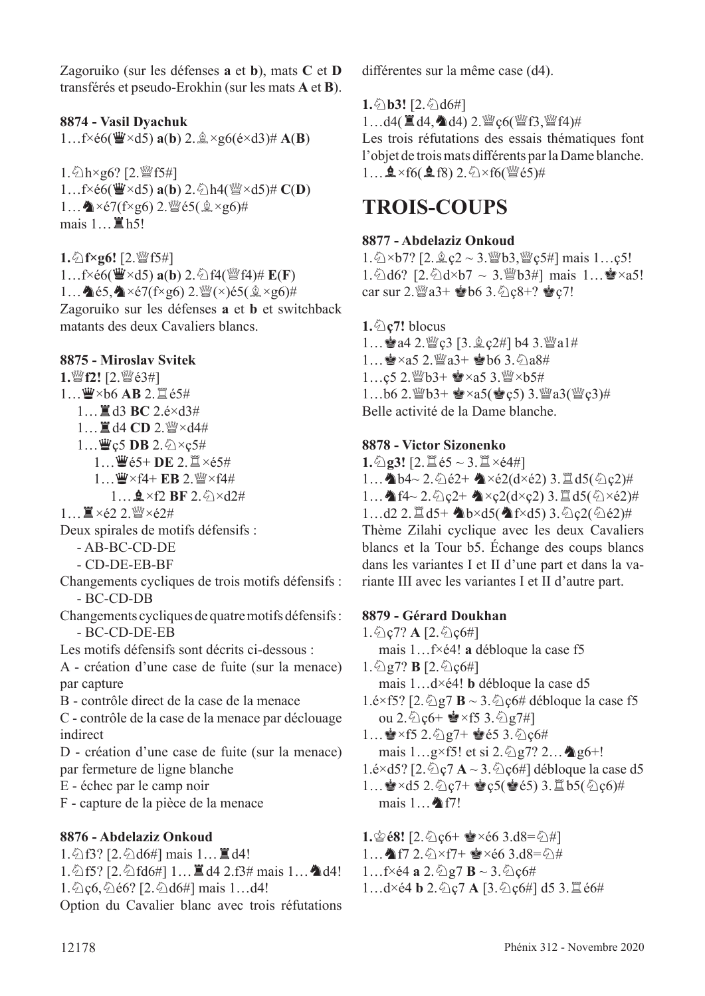Zagoruiko (sur les défenses **a** et **b**), mats **C** et **D** transférés et pseudo-Erokhin (sur les mats **A** et **B**).

### **8874 - Vasil Dyachuk**

 $1...f \times 66$ ( $\ddot{\mathbf{w}} \times d5$ )  $\mathbf{a}(\mathbf{b})$  2.  $\mathbf{\hat{A}} \times g6(\acute{e} \times d3)$ #  $\mathbf{A}(\mathbf{B})$ 

 $1.\overline{\bigcirc}$ h×g6? [2. $\mathscr{C}$ f5#] 1…f×é6(曹×d5) **a**(**b**) 2. h4( || ×d5)# **C**(**D**) 1...  $\triangle \times 57$ (f $\times$ g6) 2.  $\frac{30}{4}$ é5( $\angle \angle \times$ g6)# mais  $1...$  $R$ h5!

**1.** ① f×g6! [2. *iii* f5#]  $1...$ f $\times$ é6( $\ddot{\mathbf{\mathbf{\Psi}}}$  $\times$ d5)  $\mathbf{a}(\mathbf{b})$  2. $\odot$ f4( $\ddot{\mathbf{\mathbf{\mathbb{Q}}}}$ f4)#  $\mathbf{E}(\mathbf{F})$ 1...  $\triangleq$ é5, $\triangleq \times i7$ (f $\times$ g6) 2. $\mathcal{Q}(\times)$ é5( $\mathcal{Q}(\times)$ g6)# Zagoruiko sur les défenses **a** et **b** et switchback matants des deux Cavaliers blancs.

#### **8875 - Miroslav Svitek**

**1.**de**f2!** [2.deé3#]  $1...$  $\mathbf{W} \times 66$  **AB** 2. **E**  $65#$ 1... $\Xi$  d<sub>3</sub> **BC** 2.é×d<sub>3</sub># 1... ■d4 CD 2. 營×d4# 1…豐ç5 **DB** 2. ②×ç5# 1... 曹é5+ **DE** 2. l ×é5# 1... 曹×f4+ EB 2. 暨×f4#  $1 \dots$ **g** ×f2 **BF** 2. $\oslash$ ×d2#  $1...$ 買×é2 2. $\mathbb{W}$ ×é2# Deux spirales de motifs défensifs : - AB-BC-CD-DE - CD-DE-EB-BF Changements cycliques de trois motifs défensifs : - BC-CD-DB Changements cycliques de quatre motifs défensifs : - BC-CD-DE-EB Les motifs défensifs sont décrits ci-dessous : A - création d'une case de fuite (sur la menace) par capture B - contrôle direct de la case de la menace C - contrôle de la case de la menace par déclouage indirect

D - création d'une case de fuite (sur la menace) par fermeture de ligne blanche

E - échec par le camp noir

F - capture de la pièce de la menace

#### **8876 - Abdelaziz Onkoud**

1. 公f3? [2. 公d6#] mais 1... ■d4!

1. ①f5? [2. ①fd6#] 1... ■ d4 2.f3# mais 1... ▲ d4! 1. ① ç6, ② é6? [2. ② d6#] mais 1…d4!

Option du Cavalier blanc avec trois réfutations

diférentes sur la même case (d4).

 $1.\overline{\Diamond}$ **b3!** [2. $\overline{\Diamond}$ **d6#]** 

1…d4( $\mathbf{\Xi}$ d4, $\mathbf{\Delta}$ d4) 2. $\mathbf{\Psi}$ ç6( $\mathbf{\Psi}$ f3, $\mathbf{\Psi}$ f4)#

Les trois réfutations des essais thématiques font l'objet de trois mats diférents par la Dame blanche.  $1...$   $2 \times$  f6( $2$  f8)  $2.\<$   $\times$  f6( $\<$   $\leq$   $\div$   $5$ )#

## **TROIS-COUPS**

#### **8877 - Abdelaziz Onkoud**

1. 公×b7? [2. 鱼 ç2 ~ 3. 幽b3, 幽 ç5#] mais 1...ç5! 1. ①d6? [2. ①d×b7 ~ 3. 19b3#] mais 1... ●×a5! car sur 2. $\mathbb{W}a3+ \mathbf{\triangleleft}b6$  3. $\mathbb{Q}c8+$ ?  $\mathbf{\triangleleft}c7!$ 

**1.**①**c7!** blocus 1... a4 2. @ c3 [3. g c2#] b4 3. @ a1#  $1...$  $x \times a5$  2.  $x \times a3 + x \times b6$  3.  $\Diamond$ a8# 1…ç5 2. @b3+ ●×a5 3. @×b5# 1…b6 2. @b3+  $\bullet \times a5(\bullet \c,5)$  3. @a3( @c3)# Belle activité de la Dame blanche.

#### **8878 - Victor Sizonenko**

**1.** $\bigcirc$ **g3!** [2. $\mathbb{Z}$ é5 ~ 3. $\mathbb{Z} \times 64#$ ] 1... b4~ 2.  $\triangle$ é2+ b×é2(d×é2) 3. $\triangleq$ d5( $\triangle$ c2)# 1...  $\triangleq$  f4~ 2. $\triangleq$ <sub>c</sub>2+  $\triangleq$ ×ç2(d×ç2) 3. $\triangleq$  d5( $\triangleq$ ×é2)#  $1...d2$   $2.\mathbb{Z}$   $d5+$   $\&b \times d5($   $\&f \times d5)$   $3.\&Q($   $\&d2)$   $#$ Thème Zilahi cyclique avec les deux Cavaliers blancs et la Tour b5. Échange des coups blancs dans les variantes I et II d'une part et dans la variante III avec les variantes I et II d'autre part.

#### **8879 - Gérard Doukhan**

 $1.\hat{\otimes}$ ç7? **A**  $[2.\hat{\otimes}$ ç6#] mais 1…f×é4! **a** débloque la case f5  $1.\overline{\bigcirc}$ g7? **B**  $[2.\overline{\bigcirc}$ <sub>2</sub> $6\#]$ mais 1…d×é4! **b** débloque la case d5 1.é×f5? [2. $\triangle$ g7 **B** ~ 3. $\triangle$ c $6$ # débloque la case f5 ou 2. $\circ$ c<sub>6</sub>+  $\bullet$ ×f5 3. $\circ$ g7#]  $1...$  $x$   $\times$  f5 2.  $\frac{6}{2}$  g7+  $x$  é5 3.  $\frac{6}{4}$  c6# mais  $1...g \times f5!$  et si  $2.\&g7?$   $2...$   $q6+!$ 1.é×d5? [2. $\textcircled{2}$ <sub>C</sub>7 **A** ~ 3. $\textcircled{2}$ <sub>C</sub>6#] débloque la case d5 1… $\cdot$ s ×d5 2. $\circ$ c7+  $\cdot$ s c5( $\cdot$ s é5) 3. $\mathbb{E}$ b5( $\circ$ c6)# mais  $1...$   $\bullet$  f7! **1.** $\circledcirc$ **68!** [2. $\circledcirc$ <sub>2</sub> $\circ$ <sub>0</sub>+  $\circledcirc$   $\times$   $\circ$ 6 3.d8= $\circledcirc$ #]

1... **Af7** 2. ①×f7+ ●×é6 3.d8=②#

1…f×é4 **a** 2. $\frac{5}{2}$ g7 **B** ~ 3. $\frac{5}{2}$ ç6#

1…d×é4 **b** 2. $\Diamond$ c7 **A** [3. $\Diamond$ c6#] d5 3. $\Box$ é6#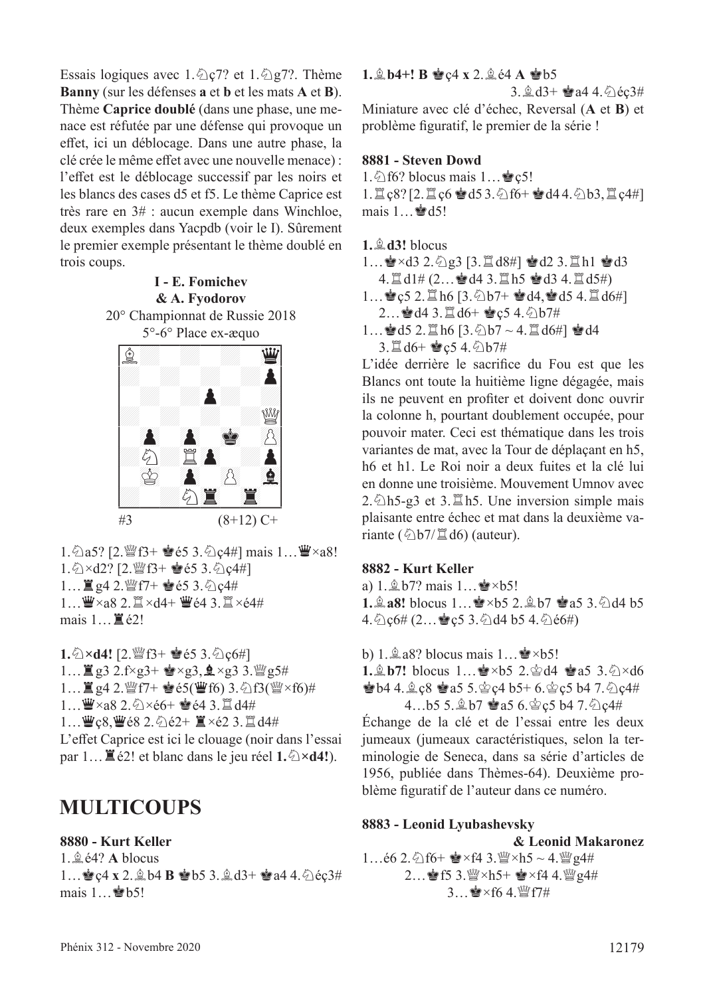Essais logiques avec 1. $\triangle$ c7? et 1. $\triangle$ g7?. Thème **Banny** (sur les défenses **a** et **b** et les mats **A** et **B**). Thème **Caprice doublé** (dans une phase, une menace est réfutée par une défense qui provoque un efet, ici un déblocage. Dans une autre phase, la clé crée le même effet avec une nouvelle menace) : l'effet est le déblocage successif par les noirs et les blancs des cases d5 et f5. Le thème Caprice est très rare en 3# : aucun exemple dans Winchloe, deux exemples dans Yacpdb (voir le I). Sûrement le premier exemple présentant le thème doublé en trois coups.

> **I - E. Fomichev & A. Fyodorov** 20° Championnat de Russie 2018



1. $\triangle$ a5? [2. $\mathscr{W}$ f3+  $\mathscr{L}$ é5 3. $\triangle$ c4#] mais 1... $\mathscr{W} \times$ a8! 1. 公×d2? [2. 瞥f3+ 會é5 3. 公ç4#]  $1...$   $\Xi$  g4 2.  $\mathcal{Q}(7)$  e é5 3.  $\Diamond$  c4#  $1...$  $\mathbf{W} \times a8$  2.  $\mathbf{X} \times d4 + \mathbf{W} 64$  3.  $\mathbf{X} \times 64$ # mais  $1 \dots \mathbb{Z}$  é2!

1. 公×d4! [2. 營f3+ 會é5 3. 公c6#] 1...  $\mathbb{Z}$  g3 2.f $\times$ g3+  $\mathbb{Z} \times$ g3,  $\mathbb{Q} \times$ g3 3. $\mathbb{Z}$ g5#  $1...$   $\mathbb{Z}$  g4 2.  $\mathbb{Q}$  f7+  $\mathbf{\dot{e}}$  é5(  $\mathbf{\ddot{e}}$  f6) 3.  $\Diamond$  f3(  $\mathbb{Q}$  × f6)#  $1...$  $x \times 38$  2. $x \times 66 + x \times 64$  3.  $x \times 44$  $1...$  $Q^{\prime\prime}c8$ , $Q^{\prime\prime}c8$  2.  $\Diamond$   $\Diamond$  2+  $\Box$   $\times$   $\Diamond$  3.  $\Box$   $\Diamond$   $\Box$   $\Diamond$   $\Box$ L'effet Caprice est ici le clouage (noir dans l'essai par 1...  $\mathbb{E}$  é2! et blanc dans le jeu réel 1.  $\triangle \times d4$ !).

## **MULTICOUPS**

**8880 - Kurt Keller**

1.fé4? **A** blocus 1...  $\leq c4 \times 2.$ **b4 B**  $\leq b5$  3.**g**d3+  $\leq a4$  4.  $\Diamond$   $\acute{e}c3\#$ mais  $1 \dots \bullet b5!$ 

#### $1.$  $\triangle$ **b4+! B**  $\triangleq$ **c4 x** 2. $\triangleq$ **e4 A**  $\triangleq$ **b5**

 $3.\n$   $\triangle$  d3+  $\triangle$  a4 4.  $\triangle$  éç3# Miniature avec clé d'échec, Reversal (**A** et **B**) et problème fguratif, le premier de la série !

#### **8881 - Steven Dowd**

1. $\Diamond$ f6? blocus mais 1...  $\Diamond$ c5!

 $1.$  $($ c $8$ ?  $[2.$  $]$ c $6 \le d5$  3. $\circled{1}$ f $6 + \le d4$ 4. $\circled{1}$ b3, $[$ c $4$ #] mais  $1...$  $d5!$ 

**1.**f**d3!** blocus

- 1… $\bullet$ ×d3 2. $\circ$ g3 [3. $\mathbb{Z}$ d8#]  $\bullet$ d2 3. $\mathbb{Z}$ h1  $\bullet$ d3  $4. \ddot{2} d1 \# (2... \otimes d4 \cdot 3. \ddot{2} h5 \otimes d3 \cdot 4. \ddot{2} d5 \#)$
- $1...$  $Q$ c5 2. $Q$ h6 [3. $Q$ b7+  $Q$ d4, $Q$ d5 4. $Q$ d6#] 2... ad4 3. 置d6+ 宫ç5 4. 2b7#
- 1... ad5 2. $\Xi$ h6 [3. $\triangle$ b7 ~ 4. $\Xi$ d6#] Rd4 3. II d6+ gc5 4. 公b7#

L'idée derrière le sacrifce du Fou est que les Blancs ont toute la huitième ligne dégagée, mais ils ne peuvent en profter et doivent donc ouvrir la colonne h, pourtant doublement occupée, pour pouvoir mater. Ceci est thématique dans les trois variantes de mat, avec la Tour de déplaçant en h5, h6 et h1. Le Roi noir a deux fuites et la clé lui en donne une troisième. Mouvement Umnov avec  $2.\overline{\Diamond}$ h5-g3 et 3. $\overline{\Box}$ h5. Une inversion simple mais plaisante entre échec et mat dans la deuxième variante ( $\&$ b7/ $\mathbb{Z}$ d6) (auteur).

#### **8882 - Kurt Keller**

a)  $1.\hat{\mathbb{Z}}$  b7? mais  $1...\hat{\mathbb{Z}}$  × b5! **1.₫a8!** blocus 1…<sup>2</sup>×b5 2.**₫b7** 2.45 3.4d4 b5  $4.\Diamond$  c  $6\#$   $(2...$   $\Diamond$  c  $5 \exists$ .  $\Diamond$  d  $4 \underline{b}$  5  $4.\Diamond$  é  $6\#$ )

b) 1. $\triangleq$  a8? blocus mais 1...  $\triangleq$  ×b5!

**1.** $\mathbf{\hat{L}}$ **b7!** blocus 1… $\mathbf{\hat{E}} \times b$ 5 2. $\mathbf{\hat{E}}$ d4  $\mathbf{\hat{E}}$ a5 3. $\mathbf{\hat{Q}} \times d6$  $\bullet$  b4 4.  $\&$  c8  $\bullet$  a5 5. $\&$  c4 b5+ 6. $\&$  c5 b4 7.  $\&$  c4# 4...b5 5. gb7 @a5 6.gc5 b4 7.  $Q$ c4#

Échange de la clé et de l'essai entre les deux jumeaux (jumeaux caractéristiques, selon la terminologie de Seneca, dans sa série d'articles de 1956, publiée dans Thèmes-64). Deuxième problème fguratif de l'auteur dans ce numéro.

#### **8883 - Leonid Lyubashevsky**

**& Leonid Makaronez**

1…é6 2. $\circled{1}$ f6+  $\bullet$ ×f4 3. $\circled{2}$ ×h5 ~ 4. $\circled{2}$ g4# 2... • f5 3.  $\mathbb{W} \times h5$ + •  $\times$  f4 4.  $\mathbb{W}$  g4#  $3...$  $\bullet$  × f6 4.  $\mathbb{W}$  f7#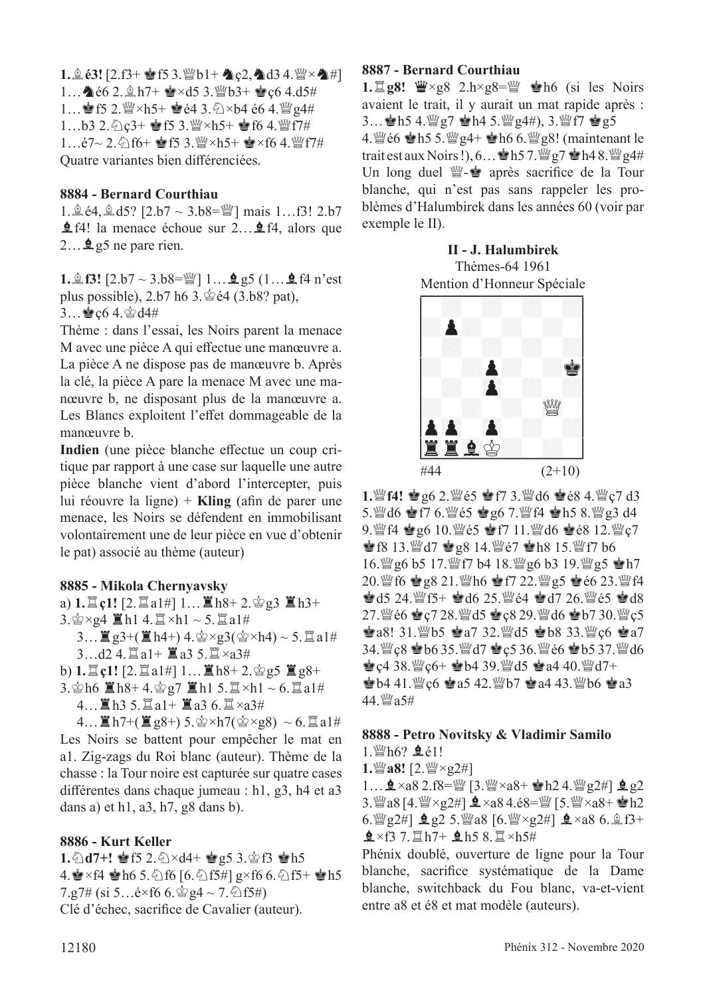$1.263!$   $[2.63+1653.$  Wb1+  $\Delta$ c<sub>2</sub>,  $\Delta$ d3 4. Wx $\Delta$ #] 1...  $\triangle 66$  2.  $\triangle h7 + \triangle xd5$  3. Wb3+  $\triangle c6$  4.d5# 1... sf5 2.  $\mathbb{I}^{\omega} \times h$ 5+ sré4 3.  $\triangle \times b$ 4 é6 4. $\mathbb{I}^{\omega}$ g4#  $1...b3$   $2.\textdegreeled{2}$   $c3+$   $\bullet$   $f5$   $3.\textdegreeled{2}$   $\times$   $h5+$   $\bullet$   $f6$   $4.\textdegreeled{2}$   $f7\#$ 1…é7~ 2.  $\bigcirc$  f6+  $\bigcirc$  f5 3. $\bigcirc$  × h5+  $\bigcirc$  × f6 4. $\bigcirc$  f7# Quatre variantes bien diférenciées.

#### **8884 - Bernard Courthiau**

1.  $\hat{A}$  é4,  $\hat{A}$  d5? [2.b7 ~ 3.b8= $\hat{B}$ ] mais 1...f3! 2.b7 ⊈f4! la menace échoue sur 2…**⊈**f4, alors que  $2...$  **g**5 ne pare rien.

**1.** $\hat{\mathbb{E}}$  **f3!**  $[2.57 \sim 3.58 = \mathbb{W} 1 \dots 295$  (1... $\hat{\mathbb{E}}$  f4 n'est plus possible),  $2.b7 h6 3.\n\textcircled{2}e4 (3.b8? pat)$ ,  $3...$ gc6 4. $\&$ d4#

Thème : dans l'essai, les Noirs parent la menace M avec une pièce A qui efectue une manœuvre a. La pièce A ne dispose pas de manœuvre b. Après la clé, la pièce A pare la menace M avec une manœuvre b, ne disposant plus de la manœuvre a. Les Blancs exploitent l'effet dommageable de la manœuvre b.

Indien (une pièce blanche effectue un coup critique par rapport à une case sur laquelle une autre pièce blanche vient d'abord l'intercepter, puis lui réouvre la ligne) + **Kling** (afn de parer une menace, les Noirs se défendent en immobilisant volontairement une de leur pièce en vue d'obtenir le pat) associé au thème (auteur)

#### **8885 - Mikola Chernyavsky**

a)  $1.\Xi$  c1!  $[2.\Xi$  a1#]  $1...\Xi$  h8+  $2.\Im$  g3  $\Xi$  h3+  $3.\s{2} \times g4 \r{1} \cdot 4.\s{2} \times h1 \sim 5.\s{2} \cdot a1#$ 3...  $\mathbb{E}$  g3+( $\mathbb{E}$  h4+) 4. $\mathbb{E} \times$ g3( $\mathbb{E} \times$ h4) ~ 5. $\mathbb{E}$  a1#  $3...d2$  4. $\Xi$ a1+  $\Xi$ a3 5. $\Xi \times a3$ #

b)  $1.\nvert\ddot{=}$  **c**1! [2. $\ddot{=}$  a1#]  $1...\nvert\ddot{=}$  h8+ 2. $\dot{e}$ g5  $\ddot{=}$  g8+

3. $\circ$ h6  $\mathbb{Z}$ h8+ 4. $\circ$ g7  $\mathbb{Z}$ h1 5. $\mathbb{Z} \times$ h1 ~ 6. $\mathbb{Z}$ a1#

 $4...$   $h3$  5.  $a1 + h3$  a3 6.  $a3#$ 

 $4...$  $\mathbb{Z}$ h7+ $(\mathbb{Z}$ g8+ $)$ 5. $\circledast \times$ h7 $(\circledast \times$ g8 $) \sim 6$ . $\mathbb{Z}$ a1# Les Noirs se battent pour empêcher le mat en a1. Zig-zags du Roi blanc (auteur). Thème de la chasse : la Tour noire est capturée sur quatre cases diférentes dans chaque jumeau : h1, g3, h4 et a3 dans a) et h1, a3, h7, g8 dans b).

#### **8886 - Kurt Keller**

**1. ①d7+! 會f5 2. ①×d4+ 會g5 3.當f3 會h5** 4.  $\times$ f4  $\times$ h6 5. $\circ$ f6 [6. $\circ$ f5#] g×f6 6. $\circ$ f5+  $\times$ h5  $7.97\#$  (si 5... $\acute{e}$ ×f6 6. $\acute{e}$ g4 ~ 7. $\acute{e}$ f5#) Clé d'échec, sacrifce de Cavalier (auteur).

#### **8887 - Bernard Courthiau**

1. **Leg8!** 曹×g8 2.h×g8= sh6 (si les Noirs avaient le trait, il y aurait un mat rapide après : 3...  $\bullet$ h5 4. $\mathbb{Q}$ g7  $\bullet$ h4 5. $\mathbb{Q}$ g4#), 3. $\mathbb{Q}$ f7  $\bullet$ g5

4.  $\mathbb{W}$ é6  $\mathbf{\dot{e}}$ h5 5. $\mathbb{W}$ g4+  $\mathbf{\dot{e}}$ h6 6. $\mathbb{W}$ g8! (maintenant le trait est aux Noirs !),  $6...$  h5 7.  $\mathbb{W}$  g7  $\bullet$  h4 8.  $\mathbb{W}$  g4# Un long duel  $\mathbb{W}\text{-}\mathbf{e}$  après sacrifice de la Tour blanche, qui n'est pas sans rappeler les problèmes d'Halumbirek dans les années 60 (voir par exemple le II).

> **II - J. Halumbirek** Thèmes-64 1961



**1.***s*f4! 會g6 2. *s*ear \$ f7 3. \$d6 會é8 4. \$c7 d3 5. @d6 @f7 6. @e5 @g6 7. @f4 @h5 8. @g3 d4 9. lef4 宫g6 10. lefe5 宫f7 11. lefe6 宫é8 12. leg  $\bullet$  f8 13. $\bullet$ d7  $\bullet$  g8 14. $\bullet$ e7  $\bullet$ h8 15. $\bullet$ f7 b6 16. 曾g6 b5 17. 曾f7 b4 18. 曾g6 b3 19. 曾g5 會h7 20. 曾f6 宫g8 21. 曾h6 宫f7 22. 曾g5 宫é6 23. 曾f4  $\bullet$  d5 24.  $\mathbb{F}5+ \bullet$  d6 25.  $\mathbb{F}64 \bullet$  d7 26.  $\mathbb{F}65 \bullet$  d8 27. 曾é6 會c7 28. 曾d5 會c8 29. 曾d6 會b7 30. 曾c5  $\bullet$  a8! 31. b5  $\bullet$  a7 32. and  $\bullet$   $\bullet$   $b8$  33. and  $\circ$   $\bullet$   $a7$ 34. @c8 @b6 35. @d7 @c5 36. @e6 @b5 37. @d6  $\bullet$  c4 38.  $\%$  c6+  $\bullet$  b4 39.  $\%$  d5  $\bullet$  a4 40.  $\%$  d7+  $\bullet$  b4 41.  $\mathcal{C}$  c6  $\bullet$  a5 42.  $\mathcal{C}$  b7  $\bullet$  a4 43.  $\mathcal{C}$  b6  $\bullet$  a3 44. Ya5#

#### **8888 - Petro Novitsky & Vladimir Samilo**

 $1.$   $h6?$   $h6!$ 

**1.***a8!* [2. *ae*×g2#]

1… $\mathbf{2} \times a8$  2.f8= $\mathbb{W}$  [3. $\mathbb{W} \times a8$ +  $\mathbb{R}$ h2 4. $\mathbb{W}$ g2#]  $\mathbf{2}$ g2 3.  $3.$   $3.$   $4.8$  [4.  $\% \times 2$ #]  $\Delta \times 484.68$  =  $\%$  [5.  $\% \times 48 + \bullet h2$ 6.  $\mathbb{Q}$  g2#]  $\mathbf{\underline{0}}$  g2 5.  $\mathbb{Q}$  a8 [6.  $\mathbb{Q} \times$ g2#]  $\mathbf{\underline{0}} \times$ a8 6.  $\mathbb{\underline{0}}$  f3+  $2 \times f3$  7.  $\mathbb{Z}h7+$   $2 \times h5 =$   $\mathbb{Z}h5 +$ 

Phénix doublé, ouverture de ligne pour la Tour blanche, sacrifce systématique de la Dame blanche, switchback du Fou blanc, va-et-vient entre a8 et é8 et mat modèle (auteurs).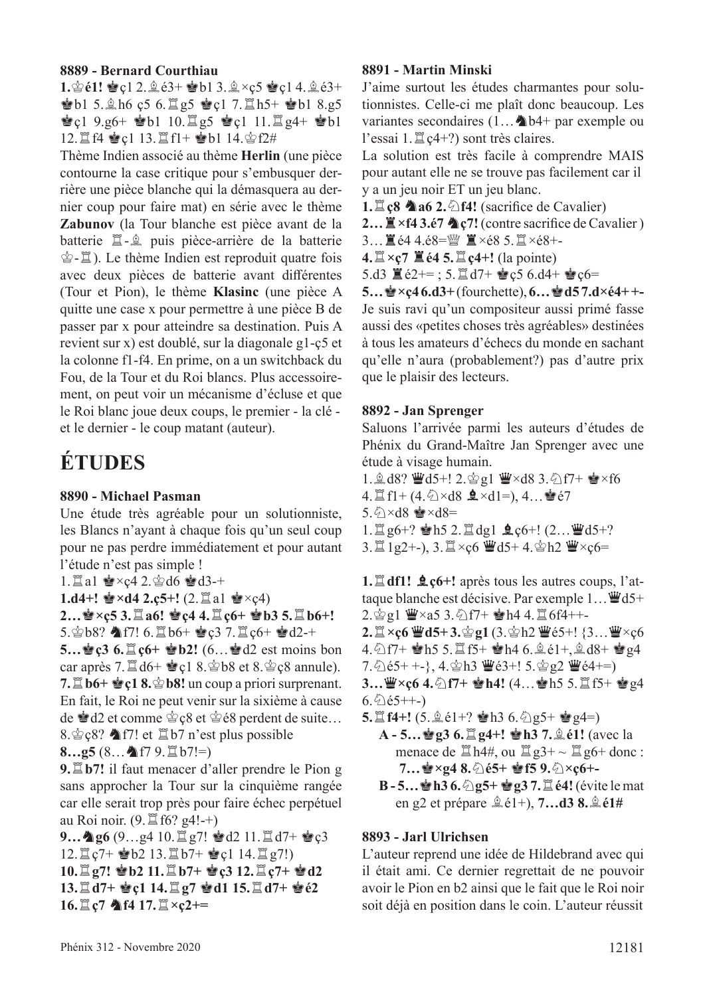#### **8889 - Bernard Courthiau**

**1. 含é1! 會c1 2. 鱼é3+ 會b1 3. 鱼×c5 曾c1 4. 鱼é3+ C**b1 5.  $\pm$ h6 c5 6.  $\pm$ g5 **e** c1 7.  $\pm$ h5+ **e** b1 8.g5  $\bullet$ ç1 9.g6+  $\bullet$ b1 10. $\Xi$ g5  $\bullet$ ç1 11. $\Xi$ g4+  $\bullet$ b1 12. 直f4 會c1 13. 置f1+ 會b1 14. 會f2#

Thème Indien associé au thème **Herlin** (une pièce contourne la case critique pour s'embusquer derrière une pièce blanche qui la démasquera au dernier coup pour faire mat) en série avec le thème **Zabunov** (la Tour blanche est pièce avant de la batterie  $\Xi$ - $\hat{\mathbb{E}}$  puis pièce-arrière de la batterie  $\hat{\mathscr{E}}$ - $\hat{\mathscr{I}}$ ). Le thème Indien est reproduit quatre fois avec deux pièces de batterie avant diférentes (Tour et Pion), le thème **Klasinc** (une pièce A quitte une case x pour permettre à une pièce B de passer par x pour atteindre sa destination. Puis A revient sur x) est doublé, sur la diagonale g1-ç5 et la colonne f1-f4. En prime, on a un switchback du Fou, de la Tour et du Roi blancs. Plus accessoirement, on peut voir un mécanisme d'écluse et que le Roi blanc joue deux coups, le premier - la clé et le dernier - le coup matant (auteur).

## **ÉTUDES**

#### **8890 - Michael Pasman**

Une étude très agréable pour un solutionniste, les Blancs n'ayant à chaque fois qu'un seul coup pour ne pas perdre immédiatement et pour autant l'étude n'est pas simple !

1.  $\Box$  a1  $\bullet$  ×ç4 2. $\circ$ d6  $\bullet$ d3-+

```
1.d4+! \bullet×d4 2.ç5+! (2.\Xia1 \bullet×ç4)
```
**2…會×ç5 3.** $\Box a6!$  **會ç4 4.** $\Box$ **c6+ 會b3 5.** $\Box$ **b6+!** 5. $\circledcirc$  b8?  $\bullet$  f7! 6.  $\sharp$  b6+  $\bullet$  c3 7.  $\sharp$  c6+  $\bullet$  d2-+

**5…會ç3 6.** $\updownarrow$  **c<sub>0</sub> + ● b2!** (6…會d2 est moins bon car après 7. $\mathbb{Z}$  d6+  $\mathbb{Q}$  et 8. $\mathbb{Q}$  et 8. $\mathbb{Q}$  eg 8 annule). **7.**  $\mathbb{Z}$  **b6+**  $\mathbb{Q}$ **c1 8.**  $\mathbb{Q}$  **b8!** un coup a priori surprenant. En fait, le Roi ne peut venir sur la sixième à cause de  $\triangleq$  d2 et comme  $\triangleq$  c8 et  $\triangleq$  é8 perdent de suite… 8. $\&$  c8?  $\triangle$  f7! et  $\Box$  b7 n'est plus possible

**8…g5** (8… 个f7 9. $\Xi$  b7!=)

**9.** $\Xi$ **b7!** il faut menacer d'aller prendre le Pion g sans approcher la Tour sur la cinquième rangée car elle serait trop près pour faire échec perpétuel au Roi noir.  $(9. \mathbb{Z}$  f6? g4!-+)

**9... ▲g6** (9...g4 10.<sup>to</sup>g7! ●d2 11. ld7+ ●c3  $12.\n\mathbb{Z}$   $c7+$   $\bullet$   $b2$  13.  $\mathbb{Z}$   $b7+$   $\bullet$   $c1$  14.  $\mathbb{Z}$   $g7!)$  $10.\n\mathbb{Z}$ g7!  $\mathbf{\hat{B}}$ b2 11. $\mathbb{Z}$ b7+  $\mathbf{\hat{B}}$ c3 12. $\mathbb{Z}$ c7+  $\mathbf{\hat{C}}$ d2 **13.**t**d7+** R**ç1 14.**t**g7** R**d1 15.**t**d7+** R**é2 16.**L**ce**7 **个f4 17.**L**×c2+=** 

#### **8891 - Martin Minski**

J'aime surtout les études charmantes pour solutionnistes. Celle-ci me plaît donc beaucoup. Les variantes secondaires  $(1...$  b4+ par exemple ou l'essai 1. $\mathbb{Z}$  c4+?) sont très claires.

La solution est très facile à comprendre MAIS pour autant elle ne se trouve pas facilement car il y a un jeu noir ET un jeu blanc.

**1.** $\Xi$ **c8 A** a6 2.  $\triangle$  f4! (sacrifice de Cavalier)

2...  $\mathbb{Z} \times$ f4 3.é7 **A** ç7! (contre sacrifice de Cavalier)

3... ■é4 4.é8=瞥 ■×é8 5. ■×é8+-

 $4. \mathbb{Z} \times c7 \mathbb{Z} 64 5. \mathbb{Z} c4+$ ! (la pointe)

5.d3  $\mathbb{E}$  é2+=; 5. $\mathbb{E}$  d7+  $\mathbb{E}$  e5 6.d4+  $\mathbb{E}$  e6=

 $5...$  $\bullet$   $\times$ **c**46.d3+ (fourchette),  $6...$  $\bullet$  d57.d×é4+ +-Je suis ravi qu'un compositeur aussi primé fasse aussi des «petites choses très agréables» destinées à tous les amateurs d'échecs du monde en sachant qu'elle n'aura (probablement?) pas d'autre prix que le plaisir des lecteurs.

#### **8892 - Jan Sprenger**

Saluons l'arrivée parmi les auteurs d'études de Phénix du Grand-Maître Jan Sprenger avec une étude à visage humain.

1.  $\&$  d8? Wed5+! 2. $\&$ g1 W×d8 3. $\&$ f7+  $\&$ ×f6 4. If  $f1 + (4.\> d8 \triangle 41=), 4...$ e é 7  $5.\textdegreeled$   $\times$  d8  $\approx$   $\times$  d8 = 1. $\mathbb{Z}$  g6+?  $\mathbb{Z}$ h5 2. $\mathbb{Z}$ dg1  $\mathbb{Q}$ c6+! (2... $\mathbb{Z}$ d5+?  $3.\Xi$  1g2+-),  $3.\Xi \times c6$  @d5+ 4. $\Phi$ h2 @ $\times c6=$ 

**1.** $\mathbf{\mathbb{I}}$ **df1!**  $\mathbf{\mathbb{I}}$ **c**6+! après tous les autres coups, l'attaque blanche est décisive. Par exemple  $1... \ddot{w} d5+$  $2.\s{2} \text{ g}1 \r{W} \times a5 \r{3}.\s{2} \r{1} + \r{1} \r{4} \r{4}.\s{2} \r{6} \r{1} + \r{-}$ **2.** $\mathbb{Z} \times \mathfrak{c}6 \cong d5+3.$ 宫g1 (3.宫h2  $\mathbb{Z} \times 65+1$  {3... $\mathbb{Z} \times \mathfrak{c}6$ 4.  $2f7+$  Ph5 5.  $\Xi$  f5+ Ph4 6.  $2e1+$ ,  $2d8+$  Pg4  $7.\overline{\Diamond}$ é5+ +-}, 4. $\dot{\Diamond}$ h3  $\ddot{\mathbf{\Psi}}$ é3+! 5. $\dot{\Diamond}$ g2  $\ddot{\mathbf{\Psi}}$ é4+=) **3…曾×ç6 4.①f7+ 會h4!** (4…會h5 5.買f5+ 會g4  $6.\hat{Q}$ é5++-)

- **5.** $\Xi$  **f4+!**  $(5.\hat{\mathbb{Q}}\cdot\hat{e}1+? \triangleq h3.6.\hat{\mathbb{Q}}\cdot g5+ \triangleq g4=)$ 
	- **A** 5... 曾g3 6.  $\mathbb{Z}$  g4+! 曾h3 7.  $\mathbb{\hat{A}}$  é1! (avec la menace de  $\Xi$  h4#, ou  $\Xi$  g3+ ~  $\Xi$  g6+ donc : **7…**R**×g4 8.**c**é5+** R**f5 9.**c**×ç6+-**
	- **B 5…**R**h3 6.**c**g5+** R**g3 7.**t**é4!** (évite le mat en g2 et prépare  $\hat{\mathbb{Q}}$  é1+), **7...d3 8.** $\hat{\mathbb{Q}}$  é1#

#### **8893 - Jarl Ulrichsen**

L'auteur reprend une idée de Hildebrand avec qui il était ami. Ce dernier regrettait de ne pouvoir avoir le Pion en b2 ainsi que le fait que le Roi noir soit déjà en position dans le coin. L'auteur réussit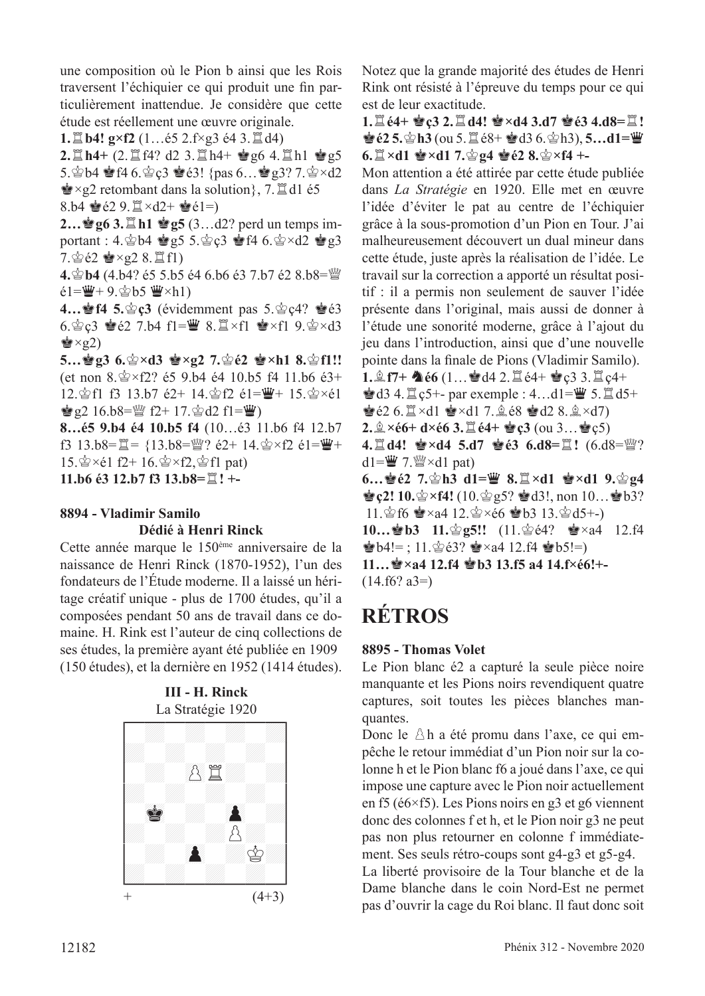une composition où le Pion b ainsi que les Rois traversent l'échiquier ce qui produit une fn particulièrement inattendue. Je considère que cette étude est réellement une œuvre originale.

**1.** $\Xi$ **b4!**  $g \times f2$  (1... $\acute{e}5$  2.f $\times$ g3  $\acute{e}4$  3. $\Xi$ d4)

 $2.\Xi$  h4+  $(2.\Xi$  f4? d2  $3.\Xi$  h4+  $\bullet$  g6  $4.\Xi$  h1  $\bullet$  g5 5. $\circledast$ b4  $\circledast$  f4 6. $\circledast$   $c3$   $\circledast$   $e3!$  {pas 6...  $\circledast$   $g3$ ? 7. $\circledast$   $\times$  d2  $\mathbf{\dot{P}} \times \mathbf{g}$  retombant dans la solution}, 7. del é5 8.b4  $\bullet$   $\acute{e}2$  9.  $\mathbb{I} \times d2+ \bullet \acute{e}1=$ 

**2…曾g6 3.** ■h1 曾g5 (3…d2? perd un temps important : 4. $\dot{\mathbb{Q}}$ b4  $\dot{\mathbb{Q}}$ g5 5. $\dot{\mathbb{Q}}$ c3  $\dot{\mathbb{Q}}$ f4 6. $\dot{\mathbb{Q}}$ ×d2  $\dot{\mathbb{Q}}$ g3  $7.\n$ gé $2 \leq x_228.\n$ if1)

**4. 宫b4 (4.b4? é5 5.b5 é4 6.b6 é3 7.b7 é2 8.b8=**  $e1 = \frac{w}{2} + 9.$  $e_5$  b5  $w \times h1$ )

**4... f4 5.**  $\circledast$  **c3** (évidemment pas 5.  $\circledast$  **c4?**  $\bulletledast$  é3 6. $\angle$ c3  $\angle$ e2 7.b4 f1= $\angle$  8. $\angle$ xf1  $\angle$ xf1 9. $\angle$ s $\times$ d3  $\dot{\mathbf{w}} \times \mathbf{q}$ 2)

**5…曾g3 6.當×d3 曾×g2 7.當é2 會×h1 8.當f1!!** (et non  $8.\s{2} \times 12$ ? é5 9.b4 é4 10.b5 f4 11.b6 é3+ 12. $\hat{\otimes}$ f1 f3 13.b7 é2+ 14. $\hat{\otimes}$ f2 é1= $\hat{\mathbf{W}}$ + 15. $\hat{\otimes}$ ×é1  $\dot{\mathbf{g}}$  g2 16.b8= $\mathcal{W}$  f2+ 17. $\dot{\mathcal{V}}$ d2 f1= $\dot{\mathcal{W}}$ )

**8…é5 9.b4 é4 10.b5 f4** (10…é3 11.b6 f4 12.b7 f3 13.b8= $\mathbb{Z} = \{13.58 = \mathbb{W}$ ? é2+ 14. $\mathbb{Q} \times f2$  é1= $\mathbb{W}$ +  $15.\n\circledast \times 61$  f2+  $16.\n\circledast \times f2,\n\circledast f1$  pat) **11.b6 é3 12.b7 f3 13.b8=**t**! +-**

## **8894 - Vladimir Samilo**

#### **Dédié à Henri Rinck**

Cette année marque le 150ème anniversaire de la naissance de Henri Rinсk (1870-1952), l'un des fondateurs de l'Étude moderne. Il a laissé un héritage créatif unique - plus de 1700 études, qu'il a composées pendant 50 ans de travail dans ce domaine. H. Rink est l'auteur de cinq collections de ses études, la première ayant été publiée en 1909 (150 études), et la dernière en 1952 (1414 études).

**III - H. Rinck**



Notez que la grande majorité des études de Henri Rink ont résisté à l'épreuve du temps pour ce qui est de leur exactitude.

**1.** $\Xi$ **é4+ ��c3 2.** $\Xi$ **d4! ��×d4 3.d7 ��é3 4.d8=** $\Xi$ **!** *†***<sub><b>e**</sub><sup>2</sup> 5.  $\circledast$  h3 (ou 5.  $\mathbb{Z}$  é8+  $\bullet$  d3 6.  $\circledast$  h3), **5…d1=**■  $6.$ **I** $\times$ d1  $\bullet$  $\times$ d1 7. $\circ$ g4  $\bullet$ e2 8. $\circ$  $\times$ f4 +

Mon attention a été attirée par cette étude publiée dans *La Stratégie* en 1920. Elle met en œuvre l'idée d'éviter le pat au centre de l'échiquier grâce à la sous-promotion d'un Pion en Tour. J'ai malheureusement découvert un dual mineur dans cette étude, juste après la réalisation de l'idée. Le travail sur la correction a apporté un résultat positif : il a permis non seulement de sauver l'idée présente dans l'original, mais aussi de donner à l'étude une sonorité moderne, grâce à l'ajout du jeu dans l'introduction, ainsi que d'une nouvelle pointe dans la fnale de Pions (Vladimir Samilo). **1.** $\hat{\mathbb{E}}$  **f7+**  $\hat{\mathbb{E}}$  **e6** (1...  $\hat{\mathbb{E}}$  d4 2.  $\hat{\mathbb{E}}$  e4+  $\hat{\mathbb{E}}$  c3 3.  $\hat{\mathbb{E}}$  c4+  $\triangleq$ d3 4. $\cong$ c5+- par exemple : 4...d1= $\cong$  5. $\cong$ d5+  $\bullet$   $\in$  2 6.  $\mathbb{Z} \times$ d1  $\bullet$   $\times$ d1 7.  $\mathbb{Q} \times$   $\bullet$   $\bullet$  d2 8.  $\mathbb{Q} \times$ d7) **2.** $\hat{\mathbb{Q}} \times 66 + d \times 66$  **3.**  $\hat{\mathbb{Z}}$   $64 + \hat{\mathbb{Q}}$  **c3**  $(\text{ou } 3... \hat{\mathbb{Q}})$  **c5**) **4.**  $\mathbb{Z}$  **d4! ᇂ×d4 5.d7 ᇂé3 6.d8=** $\mathbb{Z}$ **! (6.d8=** $\mathbb{W}$ **?** d1= $\mathbf{W}$  7. $\mathbf{W} \times$ d1 pat) **6…會é2 7.會h3 d1=曹 8.** $\mathbb{Z} \times$ d1 會×d1 9.會g4  $\bullet$  **c2! 10.**  $\circ$  x**f4!** (10.  $\circ$  g5?  $\bullet$  d3!, non 10...  $\bullet$  b3?

11. $\circ$ f6  $\bullet$ ×a4 12. $\circ$ ×é6  $\bullet$ b3 13. $\circ$ d5+-) **10…·@b3 11.**@**g5!!** (11.@e4? ●×a4 12.f4  $\bullet$  b4!=; 11. $\circ$ 63?  $\bullet$  ×a4 12.f4  $\bullet$  b5!=) **11…**R**×a4 12.f4** R**b3 13.f5 a4 14.f×é6!+-**   $(14.$ f6? a3= $)$ 

## **RÉTROS**

### **8895 - Thomas Volet**

Le Pion blanc é2 a capturé la seule pièce noire manquante et les Pions noirs revendiquent quatre captures, soit toutes les pièces blanches manquantes.

Donc le  $\Delta h$  a été promu dans l'axe, ce qui empêche le retour immédiat d'un Pion noir sur la colonne h et le Pion blanc f6 a joué dans l'axe, ce qui impose une capture avec le Pion noir actuellement en f5 (é6×f5). Les Pions noirs en g3 et g6 viennent donc des colonnes f et h, et le Pion noir g3 ne peut pas non plus retourner en colonne f immédiatement. Ses seuls rétro-coups sont g4-g3 et g5-g4.

La liberté provisoire de la Tour blanche et de la Dame blanche dans le coin Nord-Est ne permet pas d'ouvrir la cage du Roi blanc. Il faut donc soit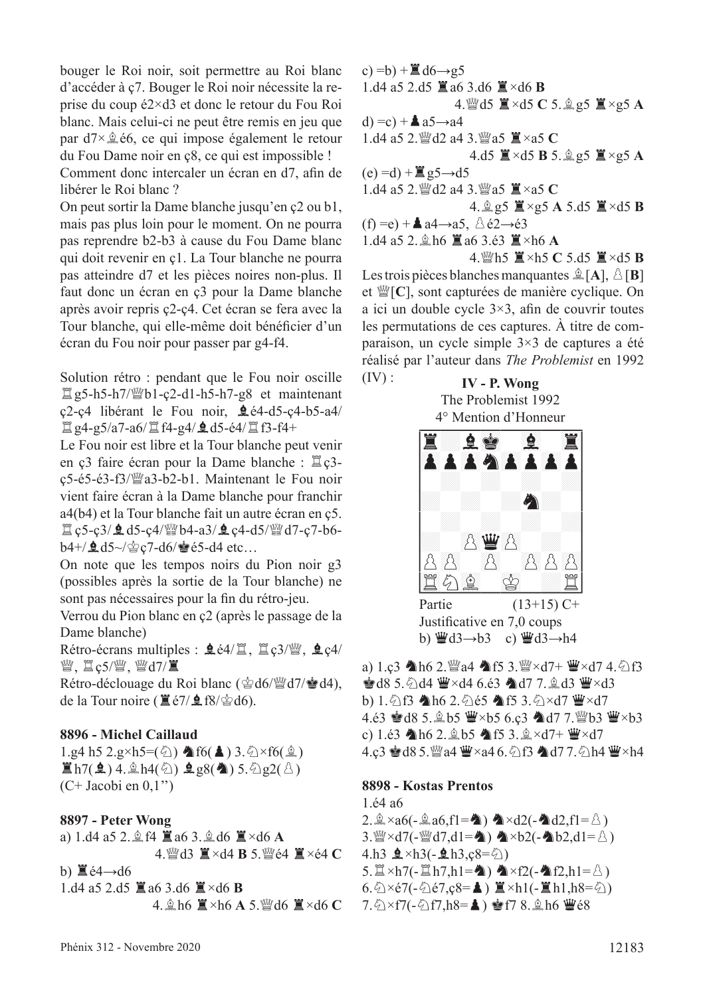bouger le Roi noir, soit permettre au Roi blanc d'accéder à ç7. Bouger le Roi noir nécessite la reprise du coup é2×d3 et donc le retour du Fou Roi blanc. Mais celui-ci ne peut être remis en jeu que par  $d7 \times \hat{d}$  é6, ce qui impose également le retour du Fou Dame noir en ç8, ce qui est impossible !

Comment donc intercaler un écran en d7, afn de libérer le Roi blanc ?

On peut sortir la Dame blanche jusqu'en ç2 ou b1, mais pas plus loin pour le moment. On ne pourra pas reprendre b2-b3 à cause du Fou Dame blanc qui doit revenir en ç1. La Tour blanche ne pourra pas atteindre d7 et les pièces noires non-plus. Il faut donc un écran en ç3 pour la Dame blanche après avoir repris ç2-ç4. Cet écran se fera avec la Tour blanche, qui elle-même doit bénéfcier d'un écran du Fou noir pour passer par g4-f4.

Solution rétro : pendant que le Fou noir oscille  $\Xi$ g5-h5-h7/ $\mathcal{W}$ b1-ç2-d1-h5-h7-g8 et maintenant ç2-ç4 libérant le Fou noir, Fé4-d5-ç4-b5-a4/  $\Xi$  g4-g5/a7-a6/ $\Xi$  f4-g4/ $\Omega$ d5-é4/ $\Xi$  f3-f4+

Le Fou noir est libre et la Tour blanche peut venir en ç3 faire écran pour la Dame blanche :  $\mathbb{Z}$  ç3ç5-é5-é3-f3/dea3-b2-b1. Maintenant le Fou noir vient faire écran à la Dame blanche pour franchir a4(b4) et la Tour blanche fait un autre écran en ç5.  $\Box$  c5-c3/ $\triangleq$  d5-c4/ $\mathcal{W}$ b4-a3/ $\triangleq$  c4-d5/ $\mathcal{W}$ d7-c7-b6b4+/ $\triangleq$ d5~/ $\triangleq$ c7-d6/ $\triangleq$ é5-d4 etc...

On note que les tempos noirs du Pion noir g3 (possibles après la sortie de la Tour blanche) ne sont pas nécessaires pour la fin du rétro-jeu.

Verrou du Pion blanc en ç2 (après le passage de la Dame blanche)

Rétro-écrans multiples :  $\mathbf{\hat{Q}}$  é4/ $\ddot{\Xi}$ ,  $\ddot{\Xi}$  ç3/ $\ddot{\Xi}$ ,  $\mathbf{\hat{Q}}$  ç4/ 營, 買c5/營, 營d7/置

Rétro-déclouage du Roi blanc ( $\triangle$ d6/ $\cong$ d7/ $\triangleq$ d4), de la Tour noire ( $\mathbf{\mathbb{E}}$ é7/ $\mathbf{\mathbb{E}}$ f8/ $\mathbf{\mathbb{E}}$ d6).

#### **8896 - Michel Caillaud**

1.g4 h5 2.g×h5= $(\textcircled{2}) \triangleq f6(\triangleq)$  3. $\textcircled{2} \times f6(\textcircled{2})$  $\mathbb{E}$ h7( $\mathbf{\hat{Q}}$ ) 4. $\mathbb{A}$ h4( $\Diamond$ )  $\mathbf{\hat{Q}}$ g8( $\mathbf{\hat{Q}}$ ) 5. $\Diamond$ g2( $\Diamond$ )  $(C+$  Jacobi en  $0,1$ ")

#### **8897 - Peter Wong**

a) 1.d4 a5 2. $\hat{\mathbb{Z}}$  f4  $\hat{\mathbb{Z}}$  a6 3. $\hat{\mathbb{Z}}$  d6  $\hat{\mathbb{Z}}$  ×d6 A  $4.$  Wed<sup>3</sup>  $\mathbb{Z} \times$ d4 **B** 5. We $4 \mathbb{Z} \times 64$  **C** 

b)  $\mathbb{E} \in 4 \rightarrow d6$ 

 $1. d4 a 5 2. d5 \nparallel a 6 3. d6 \nparallel x 46 B$ 4. th6 **i** ×h6 **A** 5. ii d6 **i** ×d6 **C**  c) = b) +  $\mathbb{Z}$  d6  $\rightarrow$  g5 1.d4 a5 2.d5  $\ddot{\mathbf{a}}$  a6 3.d6  $\ddot{\mathbf{a}} \times$ d6 **B**  $4.$  We d5  $\mathbb{E} \times$ d5 C 5.  $\mathbb{Q}$  g5  $\mathbb{E} \times$ g5 A d) = c) +  $\triangle$  a5  $\rightarrow$  a4 1.d4 a5 2. $\frac{36}{2}$ d2 a4 3. $\frac{36}{2}$ a5  $\frac{12}{2} \times 35$  C  $4.\overline{d}5 \equiv \times d5 \text{ B } 5 \pmod{4} \times g5 \text{ A}$  $(e) = d$ ) + $\mathbb{E}$  g5 $\rightarrow$ d5 1.d4 a5 2. @d2 a4 3. @a5 **I** ×a5 **C**  $4.\n$  $95 \n$  $\cancel{\text{m}} \times 95 \n$  A 5.d5  $\cancel{\text{m}} \times d5 \n$  B  $(f) = e$ ) + **a** a4→a5,  $\triangle$  é2→é3  $1. d4 a 5 2. \text{ th6} \equiv a 6 3.63 \equiv \times h6 A$  $4.$  Wh5  $\mathbb{R} \times$ h5 **C** 5.d5  $\mathbb{R} \times$ d5 **B** Les trois pièces blanches manquantes  $\hat{\mathbb{Z}}[A], \hat{\triangle}[\mathbf{B}]$ 

et  $\mathcal{C}[\mathcal{C}]$ , sont capturées de manière cyclique. On a ici un double cycle 3×3, afn de couvrir toutes les permutations de ces captures. À titre de comparaison, un cycle simple 3×3 de captures a été réalisé par l'auteur dans *The Problemist* en 1992

## **IV - P. Wong** The Problemist 1992

 $(IV):$ 



Justifcative en 7,0 coups b)  $\ddot{w}d3 \rightarrow b3$  c)  $\ddot{w}d3 \rightarrow h4$ 

a) 1.c3  $h6$  2.  $4$  a4  $f5$  3.  $\frac{10}{2} \times d7 + \frac{10}{2} \times d7$  4.  $\frac{10}{2}$  f3  $\triangleq$  d8 5. $\triangle$ d4  $\triangleq$  ×d4 6.é3  $\triangleq$  d7 7. $\triangleq$  d3  $\triangleq$  ×d3 b) 1. $\hat{\otimes}$ f3  $\spadesuit$ h6 2. $\hat{\otimes}$ é5  $\spadesuit$ f5 3. $\hat{\otimes}$ ×d7  $\spadesuit$ ×d7 4.63 @ d8 5.  $\&$  b5  $\&$  ×b5 6.c3  $\&$  d7 7.  $\&$  b3  $\&$  ×b3 c) 1.é3 h6 2. $\&$  b5 hf5 3. $\&$  ×d7+  $\&$  ×d7 4.ç3 ఆ d8 5. @a4 @×a4 6. ht3 ▲ d7 7. h4 @×h4

#### **8898 - Kostas Prentos**

1.é4 a6  $2.\hat{\mathbb{Q}} \times a6(-\hat{\mathbb{Q}} \cdot a6,f1=\hat{\spadesuit}) \bullet \times d2(-\hat{\spadesuit} d2,f1=\hat{\triangle})$ 3. $\mathbb{W} \times d7$ (- $\mathbb{W} d7, d1 = \spadesuit$ )  $\spadesuit \times b2$ (- $\spadesuit b2, d1 = \triangle$ ) 4.h3  $\mathbf{\underline{4}} \times h3(-\mathbf{\underline{4}}h3, c8 = \zeta)$  $5.\n\mathbb{Z} \times h7$ (- $\mathbb{Z}$ h7,h1= $\spadesuit$ )  $\spadesuit \times f2$ (- $\spadesuit$ f2,h1= $\upbeta$ )  $6.\overline{\Diamond}\times\acute{e}7(-\overline{\Diamond}\acute{e}7,\csc^{-1}\underline{\blacktriangle})$   $\mathbb{I}\times\mathrm{h}1(-\mathbb{I}\mathrm{h}1,\mathrm{h}8=\overline{\Diamond})$  $7.\&\times f7(-\&f7,h8=\triangle)$  \$f7 8.  $\&h6$  \eggs e8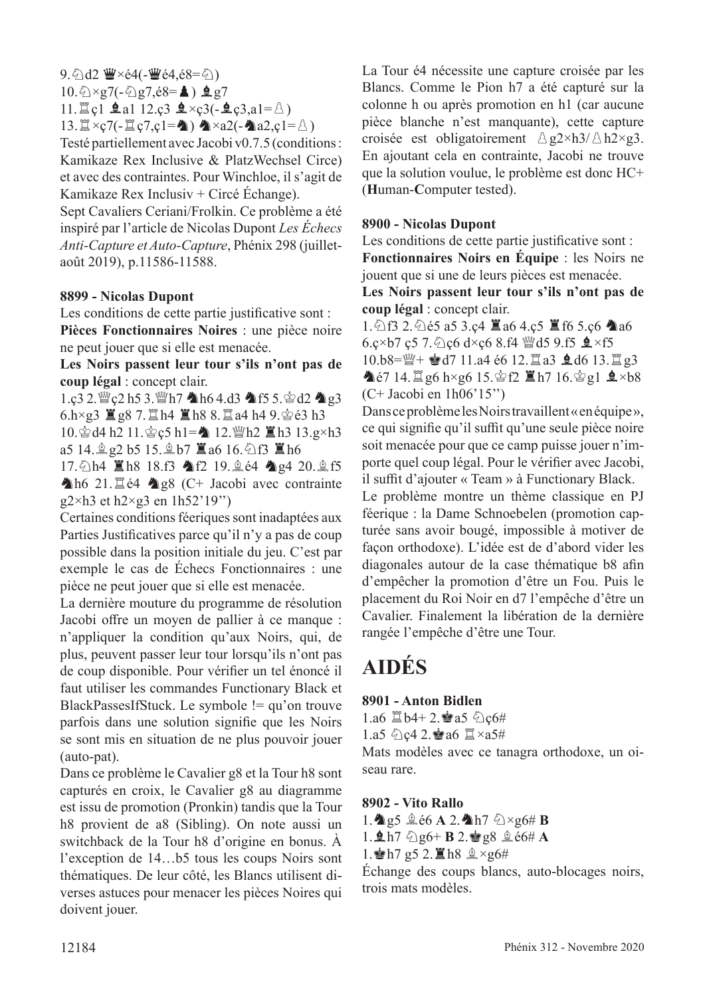$9.$  2d2 曹×é4(-曹é4,é8= 2)  $10.\overline{\textcircled{2}\times}g7(-\overline{\textcircled{2}}g7,\overline{e}8=\clubsuit) \trianglelefteq g7$ 11.  $\exists$  cl  $\triangleq$  al 12.c3  $\triangleq \times$ c3(- $\triangleq$ c3,a1= $\triangle$ )

 $13.\n\mathbb{Z}\times_{\mathbb{C}}7(-\mathbb{Z}\cdot \mathbb{C}\cdot 1=\n\spadesuit)\n\blacktriangleleft\times a2(-\spadesuit a2,\mathbb{C}1=\n\triangle)$ 

Testé partiellement avec Jacobi v0.7.5 (conditions : Kamikaze Rex Inclusive & PlatzWechsel Circe) et avec des contraintes. Pour Winchloe, il s'agit de Kamikaze Rex Inclusiv + Circé Échange).

Sept Cavaliers Ceriani/Frolkin. Ce problème a été inspiré par l'article de Nicolas Dupont *Les Échecs Anti-Capture et Auto-Capture*, Phénix 298 (juilletaoût 2019), p.11586-11588.

#### **8899 - Nicolas Dupont**

Les conditions de cette partie justificative sont : **Pièces Fonctionnaires Noires** : une pièce noire ne peut jouer que si elle est menacée.

**Les Noirs passent leur tour s'ils n'ont pas de coup légal** : concept clair.

 $1.\text{c}3\,2.\text{W}$   $\text{c}2\,\text{h}5\,3.\text{W}$  h $7\,$  he 4.d3 he f5 5.  $\text{\degree}$  d2 he g3  $6. h \times g3 \equiv g8 \approx 7.1 \pm 1.00$   $h8 \approx 8.1 \pm 1.4$  9.  $\approx 63$  h3

10. gd4 h2 11. gc5 h1= 12. if th2 ■h3 13.g×h3 a5 14. $\hat{g}$  g2 b5 15. $\hat{g}$  b7  $\hat{g}$  a6 16. $\hat{q}$  f3  $\hat{g}$  h6

17. h4  $\mathbb{Z}$ h8 18.f3  $\mathbb{A}$ f2 19.  $\&$  é4  $\mathbb{A}$  g4 20.  $\&$  f5 Ah6 21. $\Xi$ é4 Ag8 (C+ Jacobi avec contrainte  $g2\times h3$  et h $2\times g3$  en 1h52'19")

Certaines conditions féeriques sont inadaptées aux Parties Justifcatives parce qu'il n'y a pas de coup possible dans la position initiale du jeu. C'est par exemple le cas de Échecs Fonctionnaires : une pièce ne peut jouer que si elle est menacée.

La dernière mouture du programme de résolution Jacobi ofre un moyen de pallier à ce manque : n'appliquer la condition qu'aux Noirs, qui, de plus, peuvent passer leur tour lorsqu'ils n'ont pas de coup disponible. Pour vérifer un tel énoncé il faut utiliser les commandes Functionary Black et BlackPassesIfStuck. Le symbole != qu'on trouve parfois dans une solution signife que les Noirs se sont mis en situation de ne plus pouvoir jouer (auto-pat).

Dans ce problème le Cavalier g8 et la Tour h8 sont capturés en croix, le Cavalier g8 au diagramme est issu de promotion (Pronkin) tandis que la Tour h8 provient de a8 (Sibling). On note aussi un switchback de la Tour h8 d'origine en bonus. À l'exception de 14…b5 tous les coups Noirs sont thématiques. De leur côté, les Blancs utilisent diverses astuces pour menacer les pièces Noires qui doivent jouer.

La Tour é4 nécessite une capture croisée par les Blancs. Comme le Pion h7 a été capturé sur la colonne h ou après promotion en h1 (car aucune pièce blanche n'est manquante), cette capture croisée est obligatoirement  $\triangle g2\times h3/\triangle h2\times g3$ . En ajoutant cela en contrainte, Jacobi ne trouve que la solution voulue, le problème est donc HC+ (**H**uman-**C**omputer tested).

#### **8900 - Nicolas Dupont**

Les conditions de cette partie justificative sont : **Fonctionnaires Noirs en Équipe** : les Noirs ne jouent que si une de leurs pièces est menacée.

**Les Noirs passent leur tour s'ils n'ont pas de coup légal** : concept clair.

1.  $\triangle$  f3 2.  $\triangle$  é5 a5 3.ç4  $\Xi$  a6 4.ç5  $\Xi$  f6 5.ç6  $\triangle$  a6 6.c×b7 c5 7.  $\circ$ c6 d×c6 8.f4  $\ddot{w}$ d5 9.f5  $\dot{Q}$  ×f5  $10.b8 = \frac{1000}{11} + \frac{1000}{11} = 46612. \frac{1000}{12} = 34613. \frac{1000}{13} = 33$  $\triangle$ é7 14.  $\angle$ g6 h×g6 15. $\angle$ f2  $\angle$ h7 16. $\angle$ g1  $\angle$  ×b8 (C+ Jacobi en 1h06'15'')

Dans ce problème les Noirs travaillent « en équipe », ce qui signifie qu'il suffit qu'une seule pièce noire soit menacée pour que ce camp puisse jouer n'importe quel coup légal. Pour le vérifer avec Jacobi, il suffit d'ajouter « Team » à Functionary Black.

Le problème montre un thème classique en PJ féerique : la Dame Schnoebelen (promotion capturée sans avoir bougé, impossible à motiver de façon orthodoxe). L'idée est de d'abord vider les diagonales autour de la case thématique b8 afn d'empêcher la promotion d'être un Fou. Puis le placement du Roi Noir en d7 l'empêche d'être un Cavalier. Finalement la libération de la dernière rangée l'empêche d'être une Tour.

## **AIDÉS**

#### **8901 - Anton Bidlen**

1.a6  $\Xi$  b4+ 2. $\bullet$  a5  $\Diamond$  c6# 1.a5  $\&$  c4 2. a6  $\&$  ×a5#

Mats modèles avec ce tanagra orthodoxe, un oiseau rare.

#### **8902 - Vito Rallo**

- 1. **A** g5  $\triangle$  é6 **A** 2. Ah7  $\triangle$ ×g6# **B**
- $1.$ **Qh**7  $\&$  g<sub>6</sub>+ **B** 2. $\&$  g<sub>8</sub>  $\&$   $\&$  e<sub>6</sub># **A**
- 1.  $h$  h 7 g 5 2.  $\Xi$  h 8  $\angle$   $\times$  g 6#

Échange des coups blancs, auto-blocages noirs, trois mats modèles.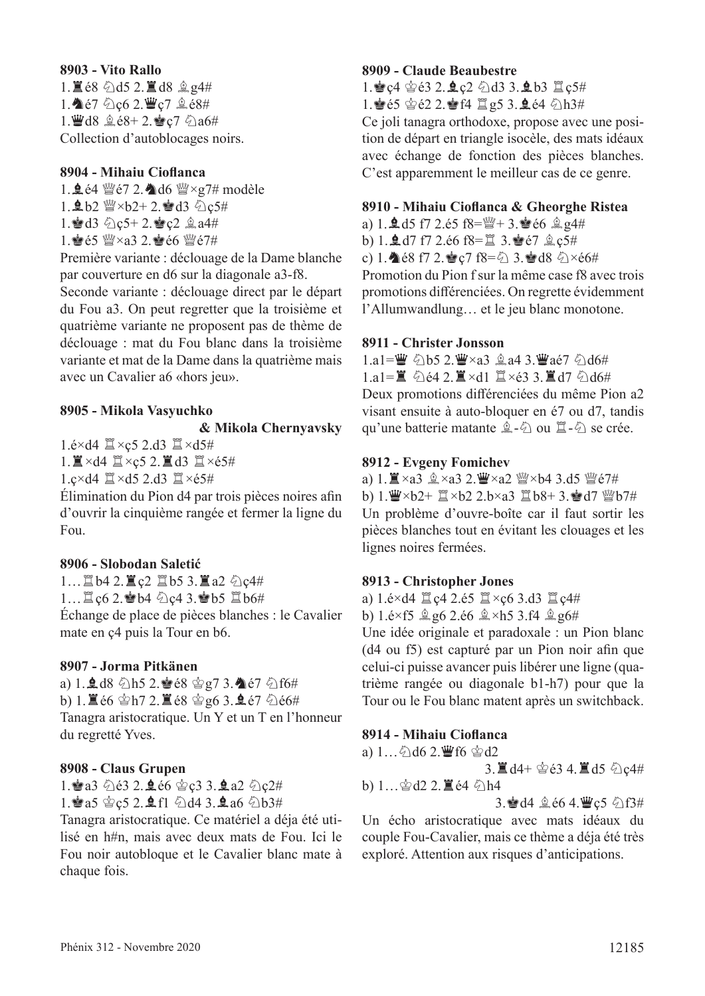#### **8903 - Vito Rallo**  $1.\n **2.9** \n *0.15* \n **2.8** \n **3.14** \n **4.14** \n **5.15** \n **6.16** \n **6.17** \n **6.17** \n **6.19** \n **6.19** \n **6.19** \n **6.19** \n **6.19** \n **6.19** \n **6.19** \n **6.19**$ 1.  $67$   $0c6$  2.  $C$ <sub>2</sub> $c7$   $0c$ <sub>2</sub> $c8$ # 1. d8  $2.68 + 2.8$ <sub>c</sub>7  $0a6#$ Collection d'autoblocages noirs.

#### **8904 - Mihaiu Ciofanca**

1.  $\frac{1.964 \text{ Wc}}{72.406 \text{ W} \times 97\text{ m}}$  modèle  $1.\n$ gb2  $\mathbb{W}\times 62+2.\n$ d3  $\mathbb{Q}c5#$ 1. d3  $\&$  c5+ 2. e c2  $\&$  a4# 1. 曾é5 幽×a3 2. 曾é6 幽é7#

Première variante : déclouage de la Dame blanche par couverture en d6 sur la diagonale a3-f8.

Seconde variante : déclouage direct par le départ du Fou a3. On peut regretter que la troisième et quatrième variante ne proposent pas de thème de déclouage : mat du Fou blanc dans la troisième variante et mat de la Dame dans la quatrième mais avec un Cavalier a6 «hors jeu».

#### **8905 - Mikola Vasyuchko**

#### **& Mikola Chernyavsky**

1.é $\times$ d4  $\mathbb{Z}\times$ ç5 2.d3  $\mathbb{Z}\times$ d5#

 $1.$  $\mathbb{I} \times d4$   $\mathbb{I} \times c5$  2. $\mathbb{I} d3$   $\mathbb{I} \times c5$ #

 $1.e \times d4 \nsubseteq \times d5$  2.d3  $\nsubseteq \times 65#$ 

Élimination du Pion d4 par trois pièces noires afn d'ouvrir la cinquième rangée et fermer la ligne du Fou.

#### **8906 - Slobodan Saletić**

1...  $\mathbb{Z}$  b4 2.  $\mathbb{Z}$   $c2$   $\mathbb{Z}$  b5 3.  $\mathbb{Z}$  a2  $\Diamond$   $c4\#$ 1... 置ç6 2. ab4 公ç4 3. ab5 置b6# Échange de place de pièces blanches : le Cavalier mate en ç4 puis la Tour en b6.

#### **8907 - Jorma Pitkänen**

a)  $1.9.48$  h5 2.8  $68$   $997$  3.4  $67$   $616#$ b) 1.  $\angle$  66  $\angle$ h7 2.  $\angle$  68  $\angle$ g6 3. **2** é7  $\angle$  66# Tanagra aristocratique. Un Y et un T en l'honneur du regretté Yves.

#### **8908 - Claus Grupen**

1. a3 5 e3 2. e e6 \$ c3 3. e a 2 5 c 2# 1. a5  $c$  c5 2. **Q** f1  $\ddot{Q}$  d4 3. **Q** a6  $\ddot{Q}$  b3#

Tanagra aristocratique. Ce matériel a déja été utilisé en h#n, mais avec deux mats de Fou. Ici le Fou noir autobloque et le Cavalier blanc mate à chaque fois.

#### **8909 - Claude Beaubestre**

1. e c4  $\circ$ 63 2. e c2  $\circ$ d3 3. e b3  $\mathbb{Z}$  c5# 1.  $65$   $62$  2.  $64$   $12$   $95$  3.  $64$   $0h3#$ Ce joli tanagra orthodoxe, propose avec une position de départ en triangle isocèle, des mats idéaux avec échange de fonction des pièces blanches. C'est apparemment le meilleur cas de ce genre.

#### **8910 - Mihaiu Ciofanca & Gheorghe Ristea**

a) 1.  $\pm$  d5 f7 2.é5 f8= $\frac{m}{2}$ + 3. $\frac{1}{2}$ é6  $\frac{6}{2}$  g4# b) 1. $\triangle$  d7 f7 2.é6 f8= $\cong$  3. $\triangleq$ é7  $\triangleq$ c5# c) 1.  $\bullet$  é8 f7 2.  $\bullet$  c7 f8= $\circ$  3.  $\bullet$  d8  $\circ$   $\times$  é6# Promotion du Pion f sur la même case f8 avec trois promotions diférenciées. On regrette évidemment l'Allumwandlung… et le jeu blanc monotone.

#### **8911 - Christer Jonsson**

 $1.a1 = \frac{W}{2}$   $\frac{6}{2}B$   $2.\frac{W}{2} \times a3 \stackrel{6}{\leq} a4$  3.  $\frac{W}{2}$   $a\acute{e}7$   $\frac{6}{2}$  d6# 1.a1= $\ddot{\mathbf{z}}$   $\ddot{\mathbf{z}}$  e4 2.  $\ddot{\mathbf{z}}$  ×d1  $\dddot{\mathbf{z}}$  ×e3 3.  $\ddot{\mathbf{z}}$  d7  $\ddot{\mathbf{z}}$  d6# Deux promotions diférenciées du même Pion a2 visant ensuite à auto-bloquer en é7 ou d7, tandis qu'une batterie matante  $\hat{\mathbb{Z}}$ - $\hat{\mathbb{Q}}$  ou  $\hat{\mathbb{Z}}$ - $\hat{\mathbb{Q}}$  se crée.

#### **8912 - Evgeny Fomichev**

a) 1. Xa3 盒×a3 2. W×a2 W×b4 3.d5 We7# b)  $1.\n *W*×b2+ *W*×b2 2.b×a3 *W* b8+ 3. A 7 *W* b7#$ Un problème d'ouvre-boîte car il faut sortir les pièces blanches tout en évitant les clouages et les lignes noires fermées.

#### **8913 - Christopher Jones**

a) 1.é×d4  $\Xi$ ç4 2.é5  $\Xi \times$ ç6 3.d3  $\Xi$ ç4# b)  $1.6 \times f5 \trianglelefteq g6$   $2.66 \trianglelefteq \times h5$   $3.64 \trianglelefteq g6$ #

Une idée originale et paradoxale : un Pion blanc (d4 ou f5) est capturé par un Pion noir afn que celui-ci puisse avancer puis libérer une ligne (quatrième rangée ou diagonale b1-h7) pour que la Tour ou le Fou blanc matent après un switchback.

#### **8914 - Mihaiu Ciofanca**

a) 1…cd6 2.Df6 rd2 3.Td4+ ré3 4.Td5 cç4# b) 1…rd2 2.Té4 ch4

3. d4  $\&$  é6 4.  $\mathbf{W}$ ç5  $\bigcirc$  f3#

Un écho aristocratique avec mats idéaux du couple Fou-Cavalier, mais ce thème a déja été très exploré. Attention aux risques d'anticipations.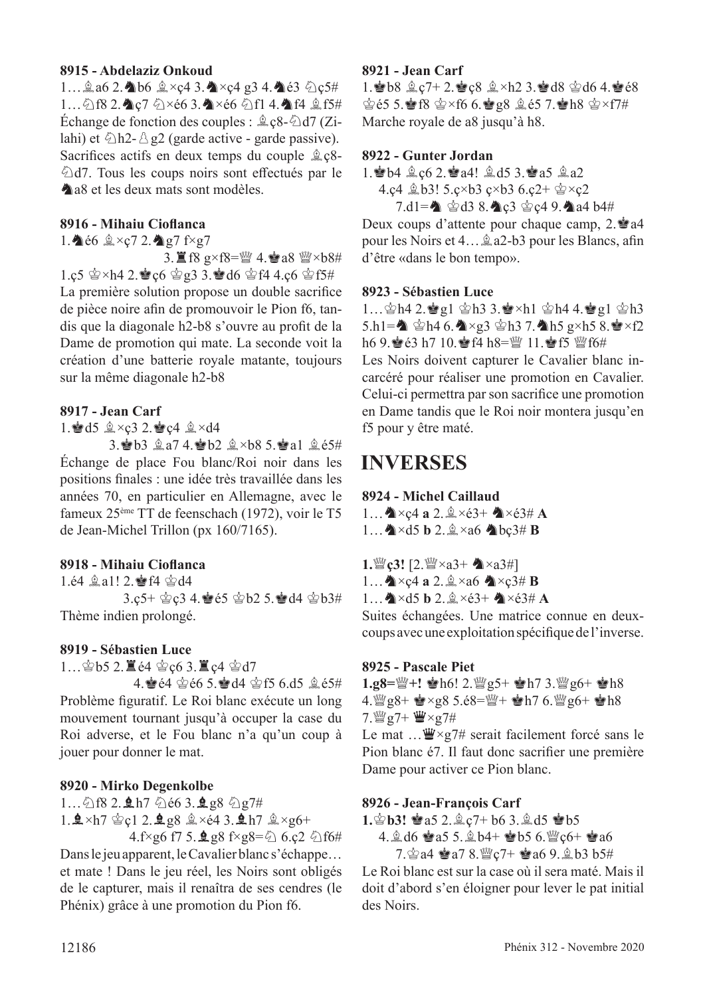#### **8915 - Abdelaziz Onkoud**

1… $\hat{a}$ a6 2. $\triangleq b6 \hat{a} \times c4$  3. $\triangleq x c4$  g3 4. $\triangleq c3 \hat{c}$ 1... 2f8 2. c7 2×é6 3. Y×é6 2f1 4. ff4  $2$ f5# Échange de fonction des couples :  $Q^2$ <sub>C</sub>8- $Q^2$ d7 (Zilahi) et  $\triangle$ h2- $\triangle$  g2 (garde active - garde passive). Sacrifices actifs en deux temps du couple  $\triangle$   $c8$ - $\triangle$ d7. Tous les coups noirs sont effectués par le **A** a<sub>8</sub> et les deux mats sont modèles.

#### **8916 - Mihaiu Ciofanca**

1.  $66 \& xc7$  2.  $q7$  f×g7

 $3.\Xi$  f8 g×f8= $\mathcal{W}$  4. $\mathcal{A}$ a8  $\mathcal{W}$ ×b8# 1.ç5  $\circledast$  ×h4 2. $\circledast$  c6  $\circledast$  g3 3. $\circledast$  d6  $\circledast$  f4 4.c6  $\circledast$  f5# La première solution propose un double sacrifce de pièce noire afn de promouvoir le Pion f6, tandis que la diagonale h2-b8 s'ouvre au proft de la Dame de promotion qui mate. La seconde voit la création d'une batterie royale matante, toujours sur la même diagonale h2-b8

#### **8917 - Jean Carf**

1. d5  $2 \times c3$  2. e c4  $2 \times d4$ 

3. b3  $2a7$  4. b2  $2 \times b8$  5. a1  $265#$ Échange de place Fou blanc/Roi noir dans les positions fnales : une idée très travaillée dans les années 70, en particulier en Allemagne, avec le fameux 25ème TT de feenschach (1972), voir le T5 de Jean-Michel Trillon (px 160/7165).

#### **8918 - Mihaiu Ciofanca**

1.é4  $\hat{\mathbb{Z}}$ a1! 2. $\hat{\mathbb{Z}}$ f4  $\hat{\mathbb{Z}}$ d4 3.ç5+  $\dot{\mathfrak{D}}$ c3 4. $\dot{\mathfrak{D}}$ é5  $\dot{\mathfrak{D}}$ b2 5. $\dot{\mathfrak{D}}$ d4  $\dot{\mathfrak{D}}$ b3# Thème indien prolongé.

#### **8919 - Sébastien Luce**

 $1...$  $9b5$  2.  $\mathbb{Z}$   $64$   $9c6$  3.  $\mathbb{Z}$   $c4$   $9d7$ 

4. e4  $\circledast$  66 5. a4  $\circledast$  f5 6.d5  $\circledast$  e5# Problème fguratif. Le Roi blanc exécute un long mouvement tournant jusqu'à occuper la case du Roi adverse, et le Fou blanc n'a qu'un coup à jouer pour donner le mat.

#### **8920 - Mirko Degenkolbe**

 $1...\bigcirc$  f8 2.  $\bigcirc$  h7  $\bigcirc$  é6 3.  $\bigcirc$  g8  $\bigcirc$  g7# 1.  $\Delta \times h7$   $\&$  c1 2.  $\Delta gg8$   $\&$   $\times$   $\epsilon$ 4 3.  $\Delta h7$   $\&$   $\times$   $g$ 6+

4.f×g6 f7 5. $\angle$ g8 f×g8= $\angle$  6.ç2  $\angle$  f6# Dans le jeu apparent, le Cavalier blanc s'échappe… et mate ! Dans le jeu réel, les Noirs sont obligés de le capturer, mais il renaîtra de ses cendres (le Phénix) grâce à une promotion du Pion f6.

#### **8921 - Jean Carf**

1. 8 b8  $2c7+2.8c8$   $2\times h2$  3.8 d8  $2d6$  4.8 e8  $\circ$ § 65 5. $\circ$ R  $\circ$   $\times$  f6 6. $\circ$ g8  $\circ$  65 7. $\circ$ Rh8  $\circ$   $\times$  f7# Marche royale de a8 jusqu'à h8.

#### **8922 - Gunter Jordan**

1. b4  $2c6$  2. a4!  $2d5$  3. a5  $2a2$ 4.ç4  $$b3!$  5.ç×b3 ç×b3 6.ç2+  $$x$ zç2

 $7. d1 =$   $\bullet$   $\bullet$   $d3$  8.  $\bullet$   $c3$   $\bullet$   $c4$  9.  $\bullet$  a4 b4# Deux coups d'attente pour chaque camp, 2. à a4 pour les Noirs et 4… $\hat{\mathbb{Q}}$  a2-b3 pour les Blancs, afin d'être «dans le bon tempo».

#### **8923 - Sébastien Luce**

1… $\Phi$ h4 2. $\Phi$ g1  $\Phi$ h3 3. $\Phi$ ×h1  $\Phi$ h4 4. $\Phi$ g1  $\Phi$ h3 5.h1= $\triangle$   $\circ$ h4 6. $\triangle \times g$ 3  $\circ$ h3 7. $\triangle$ h5 g×h5 8. $\circ$ xf2 h6 9. $\leq$  63 h7 10. $\leq$  f4 h8= $\leq$  11. $\leq$  f5  $\leq$  f6# Les Noirs doivent capturer le Cavalier blanc incarcéré pour réaliser une promotion en Cavalier. Celui-ci permettra par son sacrifce une promotion en Dame tandis que le Roi noir montera jusqu'en f5 pour y être maté.

## **INVERSES**

#### **8924 - Michel Caillaud**

 $1...$ **A**  $\times$ c4 **a** 2. $\& \times$ é3+ **A**  $\times$ é3# **A**  $1...$   $\triangle$  × d5 **b** 2. $\triangle$  × a6  $\triangle$  bç3# **B** 

**1.***o*ger [2. *a*g × a3+  $\triangle$  × a3#]

1… $\triangle\times$ ç4 **a** 2. $\triangle\times$ a6  $\triangle\times$ ç3# **B** 

 $1...$   $\triangle$  ×d5 **b** 2. $\triangle$  ×é3+  $\triangle$  ×é3# **A** 

Suites échangées. Une matrice connue en deuxcoups avec une exploitation spécifque de l'inverse.

#### **8925 - Pascale Piet**

1.g8= $\frac{w}{2}$ +! **a**h6! 2. $\frac{w}{2}$ g5+ **a**h7 3. $\frac{w}{2}$ g6+ **a**h8 4.  $\frac{36}{28}$  g8+  $\frac{1}{28}$  × g8 5.é8= $\frac{16}{24}$  +  $\frac{1}{28}$  h7 6.  $\frac{16}{28}$  g6+  $\frac{1}{28}$  h8 7. $\mathbb{W}$ g7+  $\mathbb{W}\times$ g7#

Le mat  $\ldots \mathbf{W} \times g$ 7# serait facilement forcé sans le Pion blanc é7. Il faut donc sacrifer une première Dame pour activer ce Pion blanc.

#### **8926 - Jean-François Carf**

1.  $\circledast$  **b3!**  $\circledast$  a5 2.  $\circledast$  c7+ b6 3.  $\circledast$  d5  $\circledast$  b5

4.  $\&$  d6  $\&$  a5 5.  $\&$  b4+  $\&$  b5 6.  $\&$  c6+  $\&$  a6

 $7.$  $a4 \triangleq a7.8$ . $a7 + a6.9$ .  $a.63$  b3#

Le Roi blanc est sur la case où il sera maté. Mais il doit d'abord s'en éloigner pour lever le pat initial des Noirs.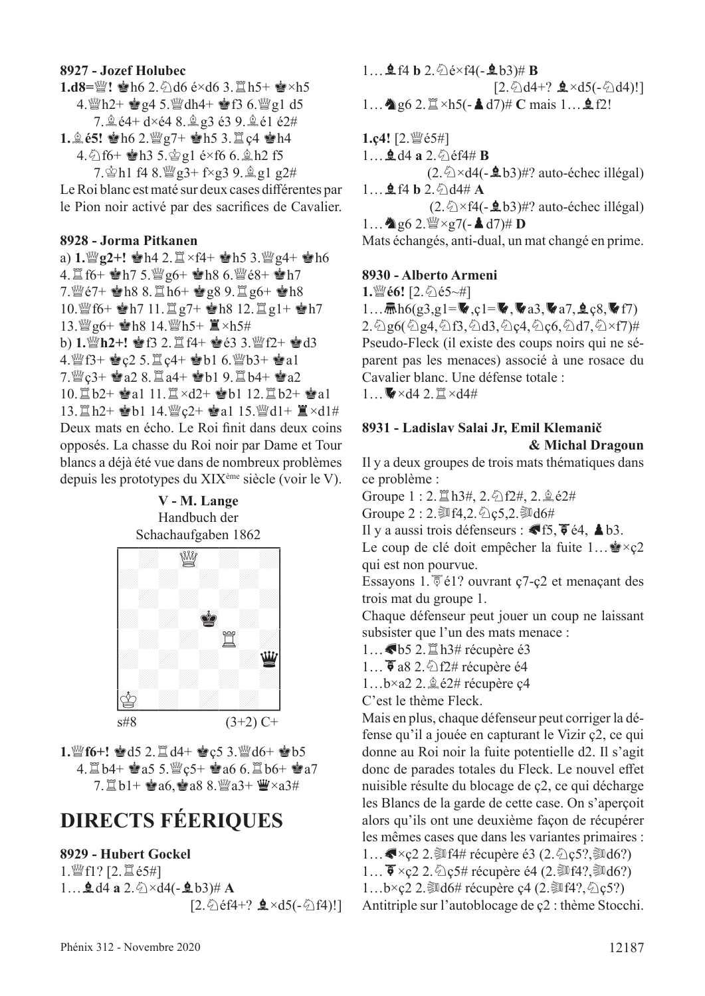#### **8927 - Jozef Holubec**

**1.d8=** $\mathbb{W}!$  $\bullet$  **h6 2.5 d6 é×d6 3.**  $\mathbb{E}$  **h5+**  $\bullet$ **×h5** 4.  $h2 + \frac{1}{2}g4 5.$   $\frac{10}{2}h4 + \frac{1}{2}f3 6.$   $\frac{10}{2}g1 d5$ 7. g é4+ d×é4 8. g g 3 é3 9. g é1 é2#

 $1.265!$   $\bullet$ h6 2. $\%$ g7+  $\bullet$ h5 3. $\Xi$ c4  $\bullet$ h4 4.  $f_0$  f6+  $h_0$  fb3 5.  $g_2$  fe  $f_0$  6.  $g_1$  fb2 f5

 $7.\n$ gh1 f4 8. $\frac{36}{27}$ + f×g3 9.  $\frac{6}{27}$ g1 g2# Le Roi blanc est maté sur deux cases diférentes par le Pion noir activé par des sacrifces de Cavalier.

#### **8928 - Jorma Pitkanen**

a)  $1.$  $\mathbb{Z}$  g2+!  $\mathbb{R}$ h4 2. $\mathbb{Z} \times$ f4+  $\mathbb{R}$ h5 3. $\mathbb{Z}$  g4+  $\mathbb{R}$ h6 4. If  $6+$  eh7 5. Wg $6+$  eh8  $6.$  We $8+$  eh7 7. @  $e7+$   $\bullet$  h8 8.  $\Xi$  h6+  $\bullet$  g8 9.  $\Xi$  g6+  $\bullet$  h8  $10.\mathbb{W}$  f6+  $\bullet$  h7 11.  $\mathbb{Z}$  g7+  $\bullet$  h8 12.  $\mathbb{Z}$  g1+  $\bullet$  h7 13. 曾g6+ 會h8 14. 曾h5+ 直×h5# b) 1. *幽* h2+! 會f3 2.  $\Xi$  f4+ 會é3 3. *幽* f2+ 會d3 4. FS+  $Q2$  5.  $Q4$ +  $Qb1$  6. Fb3+  $Qa1$ 7. 曾c3+ 會a2 8. 直a4+ 會b1 9. 直b4+ 會a2  $10.\n\mathbb{Z} b2 + \mathbb{Z} a1 \; 11.\n\mathbb{Z} \times d2 + \mathbb{Z} b1 \; 12.\n\mathbb{Z} b2 + \mathbb{Z} a1$ 13. 耳h2+ 會b1 14. 瞥c2+ 會a1 15. 瞥d1+ 耳×d1# Deux mats en écho. Le Roi fnit dans deux coins opposés. La chasse du Roi noir par Dame et Tour blancs a déjà été vue dans de nombreux problèmes depuis les prototypes du XIXème siècle (voir le V).

**V - M. Lange** Handbuch der



1. Nuff6+! 2d5 2.  $\mathbb{Z}$  d4+ 2c5 3. Wuff6+ 2b5  $4.1 \pm 0.5$  5.  $\frac{100}{2}$ c5+  $\frac{100}{2}$ a6 6.  $\frac{100}{2}$ b6+  $\frac{100}{2}$ a7  $7. \mathbb{Z} b1 + \mathbf{e} a6, \mathbf{e} a8 8.$   $\mathbb{W} a3 + \mathbf{w} \times a3\#$ 

## **DIRECTS FÉERIQUES**

#### **8929 - Hubert Gockel**

 $1.$  (2. 2.  $\Xi$  é5#]  $1...$ **2.**d4 **a** 2. $\&$   $\times$ d4(-**2**b3)# **A**  $[2.\text{\textdegreeled{2}}\text{ef4+? } \triangleq \times d5(-\text{\textdegreeled{2}}\text{f4})!]$ 

 $1...$ **Q** f4 **b** 2.  $\&$  e × f4(-**Q** b3)# **B**  $[2.\overline{\Diamond} d4+? \trianglelefteq \times d5(-\overline{\Diamond} d4)!]$ 1... **A**g6 2. $\mathbb{Z} \times h5$ (-**A**d7)# **C** mais 1... **g** f2! **1.ç4!** [2. *@*é5#]

 $1...$ **2.** d4 **a** 2.  $\Diamond$  éf4# **B**  $(2.\&\times d4(-\cdot 65))$ #? auto-échec illégal)  $1...$ **2** f4 **b** 2. $\Diamond$  d4# **A**  $(2.\&\times f4(-\underline{9}b3)\#?$  auto-échec illégal)  $1...$   $\bullet$  g6 2.  $\mathbb{W} \times$  g7(-  $\bullet$  d7)# **D** Mats échangés, anti-dual, un mat changé en prime.

#### **8930 - Alberto Armeni**

**1.** 彎é6! [2. 名é5~#]

1… $\bar{m}h6(g3,g1=\mathbf{V},c1=\mathbf{V},\mathbf{V}a3,\mathbf{V}a7,\mathbf{Q}c8,\mathbf{V}f7)$  $2.\overline{\Diamond}$ g6( $\overline{\Diamond}$ g4, $\overline{\Diamond}$ f3, $\overline{\Diamond}$ d3, $\overline{\Diamond}$ ç4, $\overline{\Diamond}$ ç6, $\overline{\Diamond}$ d7, $\overline{\Diamond}$ ×f7)# Pseudo-Fleck (il existe des coups noirs qui ne séparent pas les menaces) associé à une rosace du Cavalier blanc. Une défense totale :  $1...$   $\times$  d4 2.  $\mathbb{Z} \times$ d4#

#### **8931 - Ladislav Salai Jr, Emil Klemanič & Michal Dragoun**

Il y a deux groupes de trois mats thématiques dans ce problème :

Groupe  $1:2.\nexists$  h3#,  $2.\ntriangleleft f2\#$ ,  $2.\ntriangleleft e2\#$ 

Groupe  $2:2.$   $1/2.6$   $c5.2.3$   $d6#$ 

Il y a aussi trois défenseurs :  $\blacklozenge$  f5,  $\blacklozenge$  é4,  $\blacktriangle$  b3.

Le coup de clé doit empêcher la fuite  $1... \rightarrow \infty$ qui est non pourvue.

Essayons 1.  $\overline{\$}$  é1? ouvrant ç7-ç2 et menaçant des trois mat du groupe 1.

Chaque défenseur peut jouer un coup ne laissant subsister que l'un des mats menace :

1... <br /> **65** 2. <br>
<u>
</u>  $\Box$ h3# récupère é3

1...  $\bar{\bullet}$  a8 2.  $\bigcirc$  f2# récupère é4

 $1...b \times a2$  2.  $\triangle$  é2# récupère c4

C'est le thème Fleck.

Mais en plus, chaque défenseur peut corriger la défense qu'il a jouée en capturant le Vizir ç2, ce qui donne au Roi noir la fuite potentielle d2. Il s'agit donc de parades totales du Fleck. Le nouvel efet nuisible résulte du blocage de ç2, ce qui décharge les Blancs de la garde de cette case. On s'aperçoit alors qu'ils ont une deuxième façon de récupérer les mêmes cases que dans les variantes primaires : 1… $\blacktriangleright$   $\times$ ç2 2. $\blacktriangleright$  f4# récupère é3 (2. $\lozenge$ c5?, $\blacktriangleright$ d6?) 1...  $\overline{\bullet} \times$ ç2 2.  $\Diamond$ ç5# récupère é4 (2.  $\Pi$ f4?, $\Pi$ d6?) 1...b×ç2 2. $\mathbb{R}$ d6# récupère ç4 (2. $\mathbb{R}$ f4?, $\Diamond$ c5?) Antitriple sur l'autoblocage de ç2 : thème Stocchi.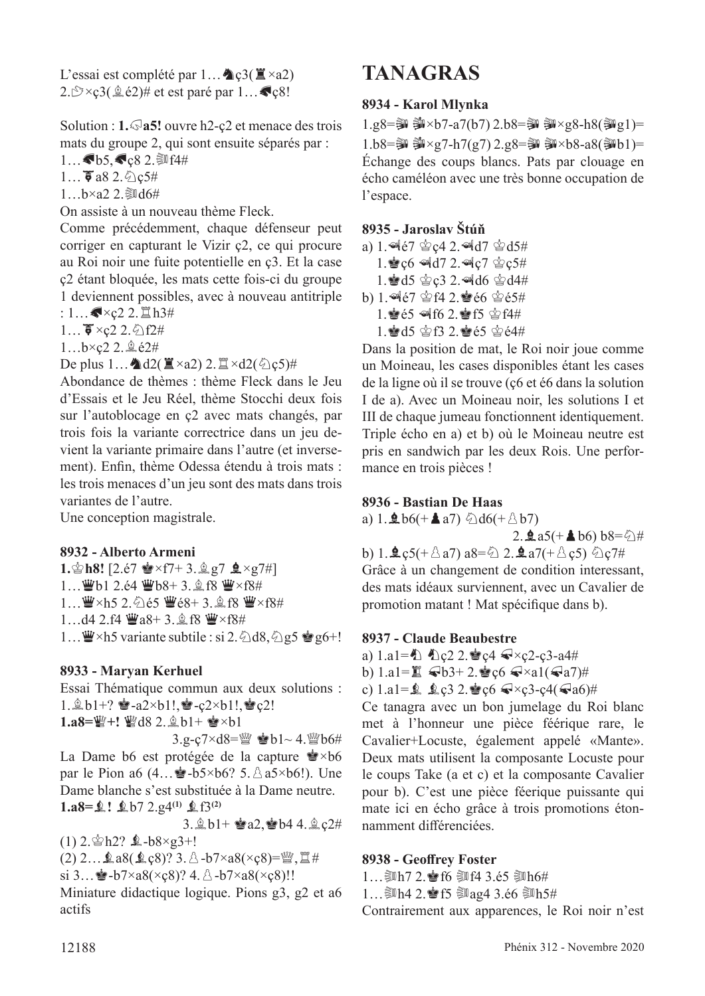L'essai est complété par  $1...$  Q  $c3(\mathbb{Z} \times a2)$ 2. $\mathcal{D} \times \mathcal{C}3(\hat{\mathcal{Q}}\in 2)$ # et est paré par  $1...$ 

Solution : **1.**g**a5!** ouvre h2-ç2 et menace des trois mats du groupe 2, qui sont ensuite séparés par : 1... $\bullet$ b5, $\bullet$ ç8 2. $\text{\textcircled{14#}}$ 

 $1...$   $\bar{5}$  a8 2.  $\Diamond$  c5#

 $1...b \times a2$  2. Jul  $6#$ 

On assiste à un nouveau thème Fleck.

Comme précédemment, chaque défenseur peut corriger en capturant le Vizir ç2, ce qui procure au Roi noir une fuite potentielle en ç3. Et la case ç2 étant bloquée, les mats cette fois-ci du groupe 1 deviennent possibles, avec à nouveau antitriple

:  $1...$   $\sqrt{x}$   $22.$   $\Xi$   $h3#$ 

 $1...$   $\overline{\bullet}$  ×c2 2.  $\Diamond$  f2#

1...b×ç2 2. @ é2#

De plus  $1...$   $d2(\mathbf{X} \times a2)$  2.  $\mathbf{X} \times d2(\mathbf{Q} \cdot \mathbf{C})$ #

Abondance de thèmes : thème Fleck dans le Jeu d'Essais et le Jeu Réel, thème Stocchi deux fois sur l'autoblocage en ç2 avec mats changés, par trois fois la variante correctrice dans un jeu devient la variante primaire dans l'autre (et inversement). Enfn, thème Odessa étendu à trois mats : les trois menaces d'un jeu sont des mats dans trois variantes de l'autre.

Une conception magistrale.

#### **8932 - Alberto Armeni**

**1.** $\circ$ **h8!** [2.é7  $\bullet$  ×f7+ 3. $\circ$ g7  $\bullet$  ×g7#] 1... 曹b1 2.é4 曹b8+ 3. t f8 曹×f8#  $1...$  $\mathbf{W} \times h5$  2. $\mathbf{\Diamond}$ ié5  $\mathbf{W}$ é $8+$  3. $\mathbf{\Diamond}$ f $8$  $\mathbf{W} \times f8$ # 1...d4 2.f4  $\mathbf{W}$ a8+ 3.  $\mathbf{\hat{A}}$  f8  $\mathbf{W} \times f8$ # 1...  $\mathbf{W} \times h5$  variante subtile : si 2.  $\triangle$ d8,  $\triangle$ g5  $\mathbf{Q}$ g6+!

#### **8933 - Maryan Kerhuel**

Essai Thématique commun aux deux solutions :  $1.\hat{p}_b1+? \triangleq -a2\times b1!, \triangleq -c2\times b1!, \triangleq c2!$ 

 $1. a8 = \frac{100}{10} + 1$   $\frac{100}{10}$   $d8$  2.  $\frac{1}{2}$   $b1 + \frac{1}{20} \times b1$ 

 $3.g-c7 \times d8 = \frac{M}{2}$  eb1~ 4.  $\frac{M}{2}$ b6#

La Dame b6 est protégée de la capture  $\mathbf{\hat{P}} \times b6$ par le Pion a6  $(4... \cdot 5 \cdot 5 \cdot 66$ ? 5.  $\triangle$  a5×b6!). Une Dame blanche s'est substituée à la Dame neutre. **1.a8=**Ä**!** Äb7 2.g4**(1)** Äf3**(2)**

3.  $\&b1+$   $\&a2,$   $\&b4$  4.  $\&c2\#$ 

 $(1)$  2. $\circledast$ h2?  $\&$ -b8×g3+!

(2) 2…Äa8(Äç8)? 3.p-b7×a8(×ç8)=de,t# si 3...  $\bullet$ -b7×a8(×ç8)? 4.  $\&$ -b7×a8(×ç8)!!

Miniature didactique logique. Pions g3, g2 et a6 actifs

## **TANAGRAS**

#### **8934 - Karol Mlynka**

 $1.g8 =$  第 $\times b7 - a7(b7) 2.b8 = 4$  第 $\times g8 - h8$ (第 $g1$ )=  $1.b8 =$  第 $\times g7-h7(g7) 2.g8 = 3$  第 $\times b8-a8$ (郭b1)= Échange des coups blancs. Pats par clouage en écho caméléon avec une très bonne occupation de l'espace.

#### **8935 - Jaroslav Štúň**

a) 1.  $467 \,$   $C2.$   $4d7 \,$   $C3$  $1.\,$   $\leq$  c6  $\leq$  d7 2.  $\leq$  c7  $\leq$  c5# 1. d5  $C$ 2. d6  $C$ 4# b)  $1.$ <sup> $4e7$ </sup> $2.$ **e** $e6$  $e5#$ 1. e65 of f6 2. f5 \$f4#  $1.$  $A = 15$   $B = 13$   $2.$   $B = 65$   $B = 64$ #

Dans la position de mat, le Roi noir joue comme un Moineau, les cases disponibles étant les cases de la ligne où il se trouve (ç6 et é6 dans la solution I de a). Avec un Moineau noir, les solutions I et III de chaque jumeau fonctionnent identiquement. Triple écho en a) et b) où le Moineau neutre est pris en sandwich par les deux Rois. Une performance en trois pièces !

#### **8936 - Bastian De Haas**

a) 1. $\textbf{\textsterling}$  b6(+ $\textbf{\textsterling}$  a7)  $\text{\textsterling}$  d6(+ $\text{\textsterling}$  b7)

2. **₫** a5(+ **4** b6) b8= $\ddot{\text{ } }$ #

b) 1. $\mathbf{\hat{L}}$ ç5(+ $\triangle$ a7) a8= $\triangle$  2. $\mathbf{\hat{L}}$ a7(+ $\triangle$ ç5)  $\triangle$ ç7# Grâce à un changement de condition interessant, des mats idéaux surviennent, avec un Cavalier de promotion matant ! Mat spécifque dans b).

#### **8937 - Claude Beaubestre**

a)  $1.a1 = \bigoplus$   $\bigoplus$  c2 2.  $\bigotimes$  c4  $\bigotimes$  × c2-c3-a4#

b)  $1.a1 = \mathbb{Z}$   $\mathbb{Q}b3+2.\mathbb{Q}c6 \mathbb{Q} \times a1(\mathbb{Q}a7)$ #

c)  $1.a1 = 2$ ,  $2.g3 2.$   $c6 \le x \le 3-c4(\le a6)$ #

Ce tanagra avec un bon jumelage du Roi blanc met à l'honneur une pièce féérique rare, le Cavalier+Locuste, également appelé «Mante». Deux mats utilisent la composante Locuste pour le coups Take (a et c) et la composante Cavalier pour b). C'est une pièce féerique puissante qui mate ici en écho grâce à trois promotions étonnamment diférenciées.

#### **8938 - Geofrey Foster**

1... 20 h7 2.  $\bullet$  f6  $\overline{\phantom{1}}$  f4 3.é5  $\overline{\phantom{1}}$  f1 h6#

1... 鄭h4 2. 會f5 鄭ag4 3.é6 鄭h5# Contrairement aux apparences, le Roi noir n'est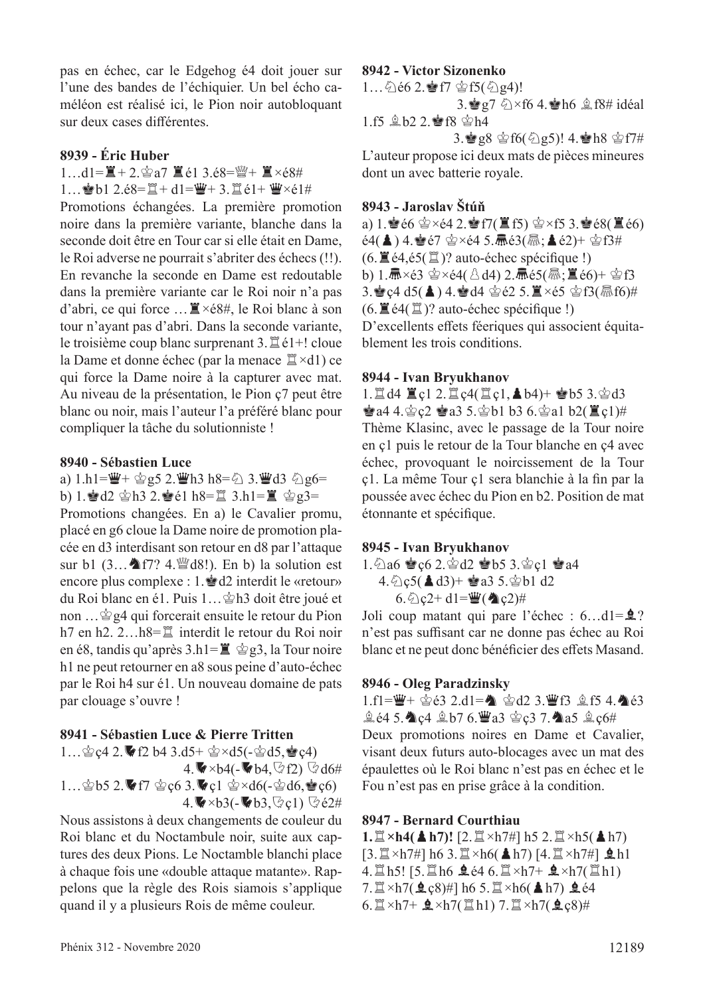pas en échec, car le Edgehog é4 doit jouer sur l'une des bandes de l'échiquier. Un bel écho caméléon est réalisé ici, le Pion noir autobloquant sur deux cases diférentes.

#### **8939 - Éric Huber**

 $1...d1 = \mathbb{E} + 2.\n\cong a7 \mathbb{E} \in 13.68 = \mathbb{W} + \mathbb{E} \times 68\#$ 1... b1 2.é8= $\mathbb{I} + d1 = \mathbb{I} + 3$ . $\mathbb{I}$ é1+  $\mathbb{I} \times 61$ #

Promotions échangées. La première promotion noire dans la première variante, blanche dans la seconde doit être en Tour car si elle était en Dame, le Roi adverse ne pourrait s'abriter des échecs (!!). En revanche la seconde en Dame est redoutable dans la première variante car le Roi noir n'a pas d'abri, ce qui force  $\ldots \mathbb{Z} \times 68\#$ , le Roi blanc à son tour n'ayant pas d'abri. Dans la seconde variante, le troisième coup blanc surprenant  $3.\n\mathbb{Z}$  é1+! cloue la Dame et donne échec (par la menace  $\mathbb{Z} \times d1$ ) ce qui force la Dame noire à la capturer avec mat. Au niveau de la présentation, le Pion ç7 peut être blanc ou noir, mais l'auteur l'a préféré blanc pour compliquer la tâche du solutionniste !

#### **8940 - Sébastien Luce**

a) 1.h1= $\mathbf{W}$ +  $\mathbf{\hat{\otimes}}$ g5 2. $\mathbf{W}$ h3 h8= $\mathbf{\hat{\otimes}}$  3. $\mathbf{W}$ d3  $\mathbf{\hat{\otimes}}$ g6=

b) 1. d2  $\Delta$  h3 2. de1 h8= $\Xi$  3.h1= $\Xi$   $\Delta$  g3= Promotions changées. En a) le Cavalier promu, placé en g6 cloue la Dame noire de promotion placée en d3 interdisant son retour en d8 par l'attaque sur b1  $(3...$  f7? 4. $\mathbb{Q}$ d8!). En b) la solution est encore plus complexe : 1.<sup>2</sup>d2 interdit le «retour» du Roi blanc en é1. Puis 1... \$h3 doit être joué et non ...  $\mathcal{Q}_g$ 4 qui forcerait ensuite le retour du Pion h7 en h2.  $2...h8=\mathbb{Z}$  interdit le retour du Roi noir en é8, tandis qu'après  $3.h1=\mathbb{E} \circ g3$ , la Tour noire h1 ne peut retourner en a8 sous peine d'auto-échec par le Roi h4 sur é1. Un nouveau domaine de pats par clouage s'ouvre !

#### **8941 - Sébastien Luce & Pierre Tritten**

1… $\circ$ ç4 2.  $\bullet$  f2 b4 3.d5+  $\circ$ ×d5(- $\circ$ d5, $\bullet$ c4)

 $4.\blacktriangleright \blacktriangleright 4(-\blacktriangleright 64, \lozenge f2) \ \heartsuit d6#$ 1… $\circledast$ b5 2. f7  $\circledast$ c6 3. el  $\circledast$ xd6(- $\circledast$ d6, $\circledast$ c6)

 $4.\blacktriangleright \times b3(-\blacktriangleright b3,\heartsuit\varphi1) \blacktriangleright \measuredangle2\#$ 

Nous assistons à deux changements de couleur du Roi blanc et du Noctambule noir, suite aux captures des deux Pions. Le Noctamble blanchi place à chaque fois une «double attaque matante». Rappelons que la règle des Rois siamois s'applique quand il y a plusieurs Rois de même couleur.

#### **8942 - Victor Sizonenko**

1... 公é6 2. 會f7 會f5(公g4)! 3.  $g7 \< f6$  4.  $h6 \< f8$ # idéal 1.f5  $$b2 2.\n$ f8  $$h4$ 

 $3.\bullet g8 \circ f6(\text{2g5})$ ! 4.  $h8 \circ f7#$ L'auteur propose ici deux mats de pièces mineures dont un avec batterie royale.

#### **8943 - Jaroslav Štúň**

a) 1.Ré6 r×é4 2.Rf7(Tf5) r×f5 3.Ré8(Té6)  $e^{4}$ (▲) 4. $e^{2}e^{7}$   $\circ$  xé4 5.  $\overline{m}$  $e^{3}$ ( $\overline{m}$ ;  $\triangleq$   $e^{2}$ )+  $\circ$   $e^{3}$  f3#  $(6. \mathbb{E} \cdot \text{e4}, \text{e5} \cdot \mathbb{E})$ ? auto-échec spécifique !) b)  $1.\overline{m} \times 63 \cong \times 64$ ( $\triangle$ d4)  $2.\overline{m}$ é5( $\overline{m}$ ; $\overline{m}$ é6)+  $\cong$ f3  $3.\bullet$ c4 d5( $\clubsuit$ ) 4. $\bullet$ d4  $\circledcirc$ é2 5. $\breve{\Xi} \times 65 \circledcirc$ f3( $\stackrel{\frown}{\text{m}}$ f6)#  $(6. \mathbb{E} \cdot 4(\mathbb{E})$ ? auto-échec spécifique !) D'excellents effets féeriques qui associent équitablement les trois conditions.

#### **8944 - Ivan Bryukhanov**

1.  $\mathbb{Z}$  d4  $\mathbb{Z}$  c1 2.  $\mathbb{Z}$  c4( $\mathbb{Z}$  c1,  $\triangle$  b4)+  $\mathbb{Z}$  b5 3. $\triangle$  d3  $\dot{\mathbf{F}}$ a4 4. $\dot{\mathbf{\Phi}}$ ç2  $\dot{\mathbf{\Phi}}$ a3 5. $\dot{\mathbf{\Phi}}$ b1 b3 6. $\dot{\mathbf{\Phi}}$ a1 b2( $\ddot{\mathbf{\Xi}}$ c1)# Thème Klasinc, avec le passage de la Tour noire en ç1 puis le retour de la Tour blanche en ç4 avec échec, provoquant le noircissement de la Tour ç1. La même Tour ç1 sera blanchie à la fn par la poussée avec échec du Pion en b2. Position de mat étonnante et spécifque.

#### **8945 - Ivan Bryukhanov**

 $1.\, \textcircled{2}$ a6  $\textcircled{2}$ c $6$  2. $\textcircled{2}$ d2  $\textcircled{2}$ b5 3. $\textcircled{2}$ c1  $\textcircled{2}$ a4  $4.\bigcirc$  c5( **A** d3)+ **e** a3 5. $\circ$ b1 d2 6.  $\hat{Q}$  c<sub>2</sub>+ d1= $\hat{Q}$ ( $\hat{Q}$ c<sub>2</sub>)#

Joli coup matant qui pare l'échec :  $6...d1 = 2$ ? n'est pas suffisant car ne donne pas échec au Roi blanc et ne peut donc bénéficier des effets Masand.

#### **8946 - Oleg Paradzinsky**

1.f1=曹+ 宫é3 2.d1= 含 宫d2 3.曹f3 盒f5 4.4é3  $\hat{p}$   $\in$  4.  $\hat{p}$   $\in$   $\mathbb{Z}$  b7 6.  $\hat{p}$  a3  $\hat{q}$  c3 7.  $\hat{p}$  a5  $\hat{p}$  c6#

Deux promotions noires en Dame et Cavalier, visant deux futurs auto-blocages avec un mat des épaulettes où le Roi blanc n'est pas en échec et le Fou n'est pas en prise grâce à la condition.

#### **8947 - Bernard Courthiau**

 $1.\Xi \times h4$ (A h7)! [2.  $\Xi \times h7$ #] h5 2.  $\Xi \times h5$ (A h7)  $[3.\mathbb{Z} \times h7\#]$  h6 3. $\mathbb{Z} \times h6$ (Ah7) [4. $\mathbb{Z} \times h7\#$ ]  $\mathbf{\&} h1$ 4.  $\ln 5!$  [5.  $\ln 6$   $\ln 4$  6.  $\ln 7 + \ln 7$   $\ln 7$  ( $\ln 1$ ) 7. $\mathbb{Z} \times h7(\mathbf{\&} c8) \#$ ] h6 5. $\mathbb{Z} \times h6(\mathbf{\&} h7)$   $\mathbf{\&} 64$  $6.\n\mathbb{Z}\times h7+\mathbf{Q}\times h7(\mathbb{Z}h1)$  7.  $\mathbb{Z}\times h7(\mathbf{Qc8})\#$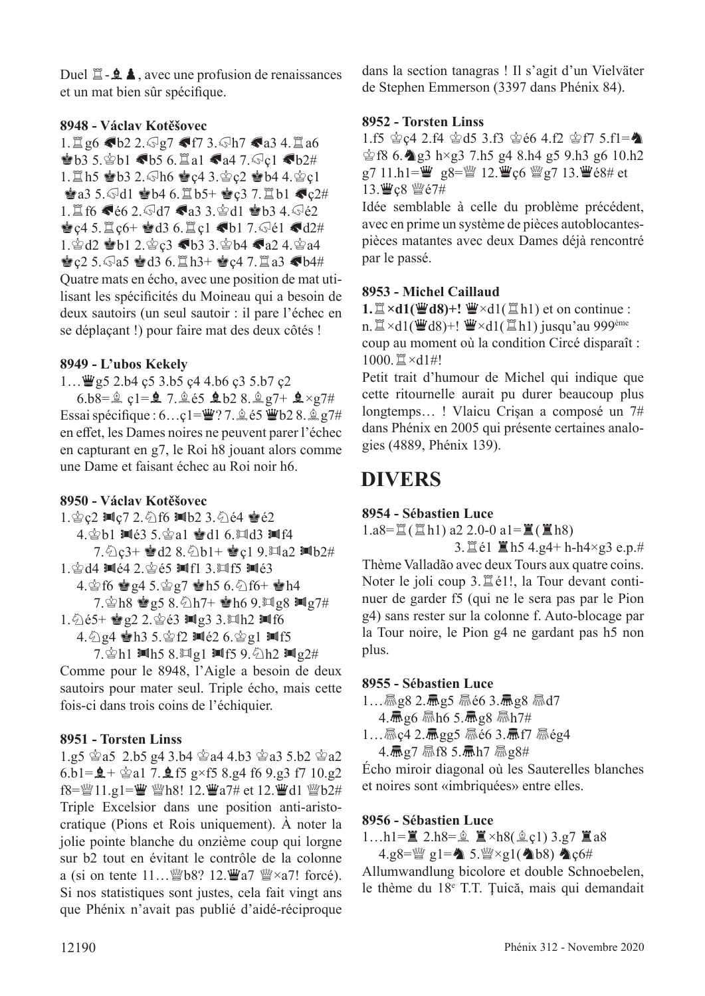Duel  $\Box - \triangle$ , avec une profusion de renaissances et un mat bien sûr spécifque.

#### **8948 - Václav Kotěšovec**

 $1.1$ g6 Gb2 2. $\sqrt{97}$  Gf7 3. $\sqrt{107}$  Ga3 4.1 a6  $\bullet$ b3 5. $\circ$ b1 Gb5 6. $\Xi$ a1 Ga4 7. $\circ$ c1 Gb2#  $1.1$ h5 @b3 2. $\sqrt{h}6$  @c4 3. $\csc 2$  @b4 4. $\csc 1$  $\bullet$ a3 5. $\odot$ d1  $\bullet$ b4 6. $\Xi$ b5+  $\bullet$ c3 7. $\Xi$ b1  $\bullet$ c2# 1. f6  $\blacklozenge 6$  2.  $\blacklozenge$ d7  $\blacklozenge$ a3 3. $\triangle$ d1  $\blacktriangleright$ b3 4. $\triangle$ é2  $\bullet$  c4 5. $\Xi$  c6+  $\bullet$  d3 6. $\Xi$  c1  $\bullet$  b1 7. $\Im$ é1  $\bullet$  d2# 1. gd2 @b1 2. gc3 6b3 3. gb4 Ga2 4. ga4  $\bullet$  c2 5. a5  $\bullet$  d3 6.  $\Xi$  h3+  $\bullet$  c4 7.  $\Xi$  a3  $\bullet$  b4# Quatre mats en écho, avec une position de mat utilisant les spécifcités du Moineau qui a besoin de deux sautoirs (un seul sautoir : il pare l'échec en se déplaçant !) pour faire mat des deux côtés !

#### **8949 - L'ubos Kekely**

 $1...$  $\mathcal{Q}$ g5 2.b4 ç5 3.b5 ç4 4.b6 ç3 5.b7 ç2

6.b8= $\hat{g}$  c1= $\hat{g}$  7. $\hat{g}$  e5  $\hat{g}$  b2 8. $\hat{g}$  g7+  $\hat{g} \times g$ 7# Essai spécifique :  $6...$ ç $1=\mathbf{W}$ ? 7.  $\&$  é5  $\mathbf{W}$ b2 8.  $\&\&q7\#$ en efet, les Dames noires ne peuvent parer l'échec en capturant en g7, le Roi h8 jouant alors comme une Dame et faisant échec au Roi noir h6.

#### **8950 - Václav Kotěšovec**

1. 宫ç2 10c7 2. 公f6 10b2 3. 公é4 會é2 4. $\dot{\otimes}$ b1  $\blacksquare$ é3 5. $\dot{\otimes}$ a1  $\dot{\otimes}$ d1 6. $\blacksquare$ d3  $\blacksquare$ f4  $7.\textdegreeled{2}$   $3+$   $\bullet$   $d2$   $8.\textdegreeled{2}$   $b1+$   $\bullet$   $c1$   $9.\textdegreeled{2}$   $m1b2#$  $1.\$  $d4 \equiv$  $(4 \cdot 2.\)$  $e5 \equiv$  $(1 \cdot 3.\)$  $(1 \cdot 5 \equiv 63.\)$ 

4. $\circ$ f6  $\circ$ g4 5. $\circ$ g7  $\circ$ h5 6. $\circ$ f6+  $\circ$ h4

 $7.\$   $8h8$  @  $25.8.\$   $h7+$  @  $h6.9.\$  M  $28$  M  $27\#$ 

1.  $0.65 + \circledast 92$  2.  $0.63$  Mg3 3. Mh2 Mf6

4.  $\frac{1}{2}$ g4  $\frac{1}{2}$ h3 5.  $\frac{1}{2}$ f2  $\frac{1}{2}$ e2 6.  $\frac{1}{2}$ g1  $\frac{1}{2}$ f5

7. $\Phi$ h1  $\text{min}$ 5 8. $\text{min}$ 1  $\text{min}$ 5 9. $\text{min}$ 2#

Comme pour le 8948, l'Aigle a besoin de deux sautoirs pour mater seul. Triple écho, mais cette fois-ci dans trois coins de l'échiquier.

#### **8951 - Torsten Linss**

1.g5  $\approx$ a5 2.b5 g4 3.b4  $\approx$ a4 4.b3  $\approx$ a3 5.b2  $\approx$ a2 6.b1= $\hat{Q}$  +  $\hat{\otimes}$  a1 7. $\hat{\otimes}$  f5 g×f5 8.g4 f6 9.g3 f7 10.g2 f8= $\mathcal{W}11.g1$ = $\mathcal{W}18!$  12. $\mathcal{W}137#$  et 12. $\mathcal{W}11 \mathcal{W}62#$ Triple Excelsior dans une position anti-aristocratique (Pions et Rois uniquement). À noter la jolie pointe blanche du onzième coup qui lorgne sur b2 tout en évitant le contrôle de la colonne a (si on tente  $11...$  @b8? 12.  $\mathbf{W}$ a7  $\mathbf{W} \times a$ 7! forcé). Si nos statistiques sont justes, cela fait vingt ans que Phénix n'avait pas publié d'aidé-réciproque dans la section tanagras ! Il s'agit d'un Vielväter de Stephen Emmerson (3397 dans Phénix 84).

#### **8952 - Torsten Linss**

1.f5  $\&$  c4 2.f4  $\&$  d5 3.f3  $\&$  e6 4.f2  $\&$  f7 5.f1= $\bullet$  $\frac{1}{2}$ f8 6. $\frac{1}{2}$ g3 h×g3 7.h5 g4 8.h4 g5 9.h3 g6 10.h2 g7 11.h1= $\ddot{\mathbf{w}}$  g8= $\ddot{\mathbf{w}}$  12. $\ddot{\mathbf{w}}$  c6  $\ddot{\mathbf{w}}$  g7 13. $\ddot{\mathbf{w}}$  é8# et 13. We8 We7#

Idée semblable à celle du problème précédent, avec en prime un système de pièces autoblocantespièces matantes avec deux Dames déjà rencontré par le passé.

#### **8953 - Michel Caillaud**

1.  $\mathbb{Z} \times d1(\mathbb{Z} d8) +! \mathbb{Z} \times d1(\mathbb{Z} d1)$  et on continue : n.  $\mathbb{Z} \times d1(\mathbb{Z} d8) +! \mathbb{Z} \times d1(\mathbb{Z} h1)$  jusqu'au 999<sup>ème</sup> coup au moment où la condition Circé disparaît :  $1000.$  $\mathbb{Z} \times d1$ #!

Petit trait d'humour de Michel qui indique que cette ritournelle aurait pu durer beaucoup plus longtemps... ! Vlaicu Crisan a composé un 7# dans Phénix en 2005 qui présente certaines analogies (4889, Phénix 139).

## **DIVERS**

#### **8954 - Sébastien Luce**

 $1.a8=\mathbb{Z}(\mathbb{Z}h1) a2 2.0-0 a1=\mathbb{Z}(\mathbb{Z}h8)$ 

3. $\Xi$ é1  $\Xi$ h5 4.g4+ h-h4×g3 e.p.# Thème Valladão avec deux Tours aux quatre coins. Noter le joli coup  $3.\n *Let*11, *let*11, *let*2, *let*3, *let*4, *let*4, *let*5, *let*6, *let*7, *let*8, *let*9, *let*9, *let*1, *let*1, *let*2, *let*3, *let*4, *let*6, *let*7, *let*8, *let*9, *let*$ nuer de garder f5 (qui ne le sera pas par le Pion g4) sans rester sur la colonne f. Auto-blocage par la Tour noire, le Pion g4 ne gardant pas h5 non plus.

#### **8955 - Sébastien Luce**

 $1...$  Mag  $2.\bar{m}$ g 5 Maé 6 3. Mag 8 Mad 7

 $4.\bar{m}$ g6 驫h6 5.扁g8 驫h7#

 $1...$ Mgc4 2. Magg5 Mé6 3. Mf7 Még4 4.  $\frac{1}{2}$  27 X f8 5.  $\frac{1}{2}$  h7  $\frac{1}{2}$  g8#

Écho miroir diagonal où les Sauterelles blanches et noires sont «imbriquées» entre elles.

#### **8956 - Sébastien Luce**

1…h1= $\mathbb{Z}$  2.h8= $\hat{\mathbb{Z}}$   $\mathbb{Z} \times h8(\hat{\mathbb{Z}}_Q1)$  3.g7  $\mathbb{Z}$  a8 4.g8= $\mathbb{Q}$ g1= $\mathbb{A}$  5. $\mathbb{Q} \times$ g1( $\mathbb{A}$ b8)  $\mathbb{A}$ c6#

Allumwandlung bicolore et double Schnoebelen, le thème du 18e T.T. Ţuică, mais qui demandait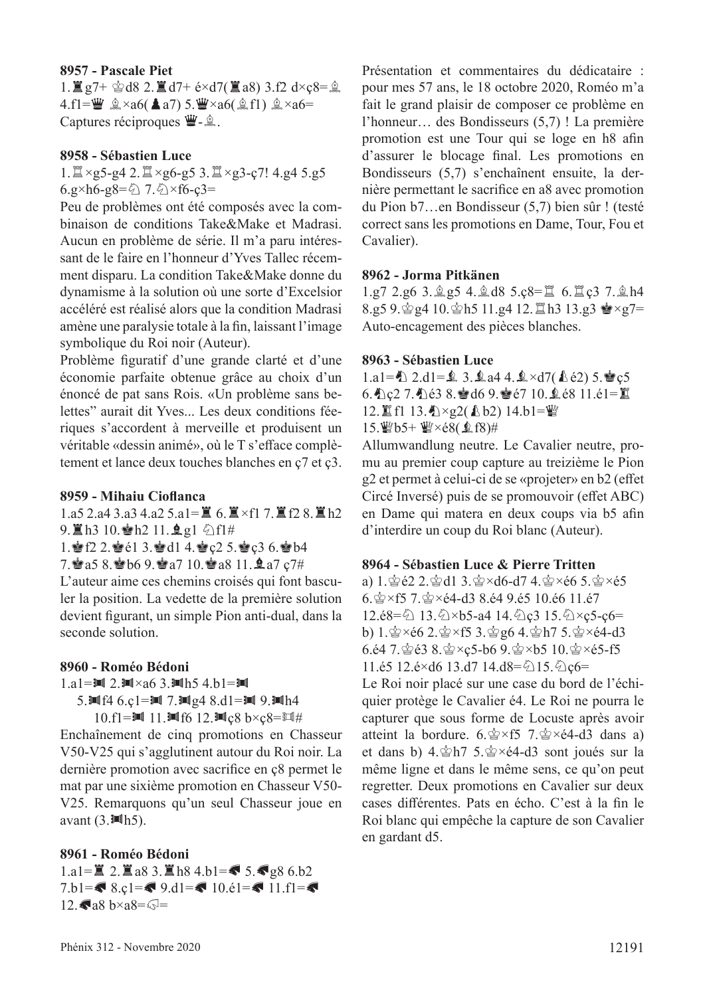#### **8957 - Pascale Piet**

 $1.$  $\mathbb{Z}$  g7+  $\&$  d8 2.  $\mathbb{Z}$  d7+ é×d7( $\mathbb{Z}$  a8) 3.f2 d×c8= $\&$  $4.f1=\dddot{w} \triangleq \times a6(4a7) 5.\dddot{w} \times a6(\triangleq f1) \triangleq \times a6=$ Captures réciproques  $\dddot{\mathbf{\Psi}}$ - $\hat{\mathbb{Z}}$ .

#### **8958 - Sébastien Luce**

#### $1. \mathbb{Z} \times g$ 5-g4 2. $\mathbb{Z} \times g$ 6-g5 3. $\mathbb{Z} \times g$ 3-ç7! 4.g4 5.g5  $6.9 \times h6 - 98 = 27.2 \times f6 - 28 =$

Peu de problèmes ont été composés avec la combinaison de conditions Take&Make et Madrasi. Aucun en problème de série. Il m'a paru intéressant de le faire en l'honneur d'Yves Tallec récemment disparu. La condition Take&Make donne du dynamisme à la solution où une sorte d'Excelsior accéléré est réalisé alors que la condition Madrasi amène une paralysie totale à la fn, laissant l'image symbolique du Roi noir (Auteur).

Problème fguratif d'une grande clarté et d'une économie parfaite obtenue grâce au choix d'un énoncé de pat sans Rois. «Un problème sans belettes" aurait dit Yves... Les deux conditions féeriques s'accordent à merveille et produisent un véritable «dessin animé», où le T s'eface complètement et lance deux touches blanches en ç7 et ç3.

#### **8959 - Mihaiu Ciofanca**

1.a5 2.a4 3.a3 4.a2 5.a1= $\angle$  6.  $\angle$  ×f1 7.  $\angle$  f2 8.  $\angle$  h2 9. lh3 10. h2 11. g1 公f1#

1. f2 2. e2 3. d1 4. c2 5. e3 6. ob4

7. a5 8. b6 9. a7 10. a8 11. a7 c7#

L'auteur aime ces chemins croisés qui font basculer la position. La vedette de la première solution devient fgurant, un simple Pion anti-dual, dans la seconde solution.

#### **8960 - Roméo Bédoni**

1.a1 = 
$$
\blacksquare
$$
 2.  $\blacksquare \times a6$  3.  $\blacksquare$  h5 4.b1 =  $\blacksquare$ 

5. $Mf4$  6.c1= $M$  7. $Mg4$  8.d1= $M$  9. $Mh4$ 

10.f1= $\text{Im } 11$ . $\text{Im } f6$  12. $\text{Im } c8$  b×c $8$ = $\text{Im } \#$ 

Enchaînement de cinq promotions en Chasseur V50-V25 qui s'agglutinent autour du Roi noir. La dernière promotion avec sacrifce en ç8 permet le mat par une sixième promotion en Chasseur V50- V25. Remarquons qu'un seul Chasseur joue en avant  $(3.11h5)$ .

#### **8961 - Roméo Bédoni**

1.a1= $\angle$  2.  $\angle$  a8 3.  $\angle$  h8 4.b1= $\angle$  5.  $\angle$  g8 6.b2 7.b1= $\bullet$  8.c1= $\bullet$  9.d1= $\bullet$  10.e1= $\bullet$  11.f1= $\bullet$  $12.$ Ga8 b×a8= $\sqrt{5}$ =

Présentation et commentaires du dédicataire : pour mes 57 ans, le 18 octobre 2020, Roméo m'a fait le grand plaisir de composer ce problème en l'honneur… des Bondisseurs (5,7) ! La première promotion est une Tour qui se loge en h8 afn d'assurer le blocage fnal. Les promotions en Bondisseurs (5,7) s'enchaînent ensuite, la dernière permettant le sacrifce en a8 avec promotion du Pion b7…en Bondisseur (5,7) bien sûr ! (testé correct sans les promotions en Dame, Tour, Fou et Cavalier).

#### **8962 - Jorma Pitkänen**

 $1.97$   $2.96$   $3.95$   $4.98$   $3.68 = 16$   $6.12$   $3.7.914$ 8.g5 9. g4 10. gh5 11.g4 12. lh3 13.g3 宫×g7= Auto-encagement des pièces blanches.

#### **8963 - Sébastien Luce**

1.a1= $\Delta$  2.d1= $\Delta$  3. $\Delta$ a4 4. $\Delta$ ×d7( $\Delta$ é2) 5. $\Delta$ ç5 6. $Q$ c2 7. $Q$ é3 8. $Q$ d6 9. $Q$ é7 10. $Q$ é8 11.é1= $E$ 12. If  $13.$   $\Diamond$  ×  $g$ 2( $\Diamond$  b2) 14.b1= $\mathcal{Q}$ 15. *瞥b5+ ��* ×é8(皇f8)#

Allumwandlung neutre. Le Cavalier neutre, promu au premier coup capture au treizième le Pion g2 et permet à celui-ci de se «projeter» en b2 (efet Circé Inversé) puis de se promouvoir (efet ABC) en Dame qui matera en deux coups via b5 afn d'interdire un coup du Roi blanc (Auteur).

#### **8964 - Sébastien Luce & Pierre Tritten**

a)  $1.\n\circledast$   $e2.2.\n\circledast$  d1  $3.\n\circledast \times d6$ -d7  $4.\n\circledast \times e6.5.\n\circledast \times e5$  $6.\s{2} \times f5$  7. $\s{2} \times 64$ -d3 8.64 9.65 10.66 11.67  $12.\dot{e}8 = \ddot{2} \cdot 13.\dot{e} \times b5 - a4 \cdot 14.\dot{e} \cdot c3 \cdot 15.\ddot{e} \times c5 - c6 =$ b)  $1.\n\&\times 66$   $2.\n\&\times 53.\n\&\times 64.\n\&\times 175.$  $\&\times 64.\n3$  $6.64$  7. $\circledast$  $63$   $8.$  $\circledast$  $\times$ c5-b6  $9.$  $\circledast$  $\times$ b5  $10.\circledast$  $\times$ é5-f5 11.é5 12.é $\times$ d6 13.d7 14.d8= $\frac{1}{2}$ 15. $\frac{1}{2}$ c6=

Le Roi noir placé sur une case du bord de l'échiquier protège le Cavalier é4. Le Roi ne pourra le capturer que sous forme de Locuste après avoir atteint la bordure.  $6.\× f5$  7. $\× e4-d3$  dans a) et dans b) 4. $\hat{\mathbb{E}}$ h7 5. $\hat{\mathbb{E}} \times 64$ -d3 sont joués sur la même ligne et dans le même sens, ce qu'on peut regretter. Deux promotions en Cavalier sur deux cases diférentes. Pats en écho. C'est à la fn le Roi blanc qui empêche la capture de son Cavalier en gardant d5.